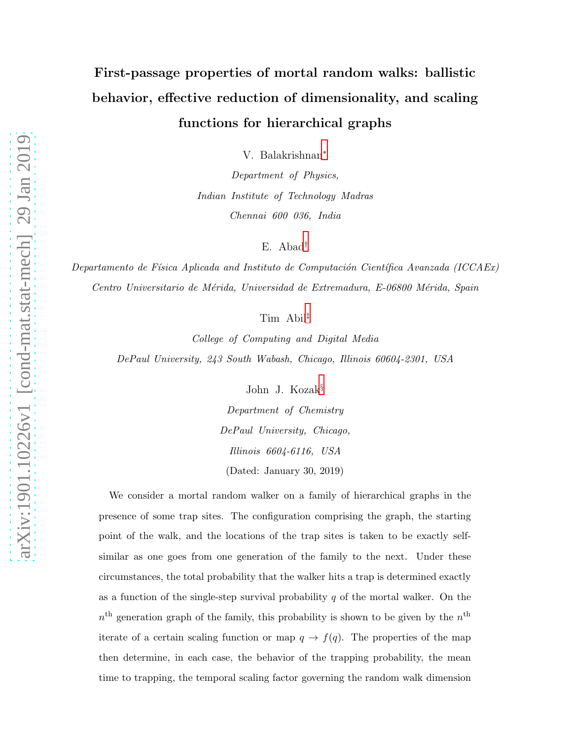# First-passage properties of mortal random walks: ballistic behavior, effective reduction of dimensionality, and scaling functions for hierarchical graphs

V. Balakrishnan[∗](#page-1-0)

Department of Physics, Indian Institute of Technology Madras Chennai 600 036, India

E. Abad[†](#page-1-1)

Departamento de Física Aplicada and Instituto de Computación Científica Avanzada (ICCAEx) Centro Universitario de Mérida, Universidad de Extremadura, E-06800 Mérida, Spain

Tim Abil[‡](#page-1-2)

College of Computing and Digital Media DePaul University, 243 South Wabash, Chicago, Illinois 60604-2301, USA

John J. Kozak[§](#page-1-3)

Department of Chemistry DePaul University, Chicago, Illinois 6604-6116, USA (Dated: January 30, 2019)

We consider a mortal random walker on a family of hierarchical graphs in the presence of some trap sites. The configuration comprising the graph, the starting point of the walk, and the locations of the trap sites is taken to be exactly selfsimilar as one goes from one generation of the family to the next. Under these circumstances, the total probability that the walker hits a trap is determined exactly as a function of the single-step survival probability  $q$  of the mortal walker. On the  $n<sup>th</sup>$  generation graph of the family, this probability is shown to be given by the  $n<sup>th</sup>$ iterate of a certain scaling function or map  $q \to f(q)$ . The properties of the map then determine, in each case, the behavior of the trapping probability, the mean time to trapping, the temporal scaling factor governing the random walk dimension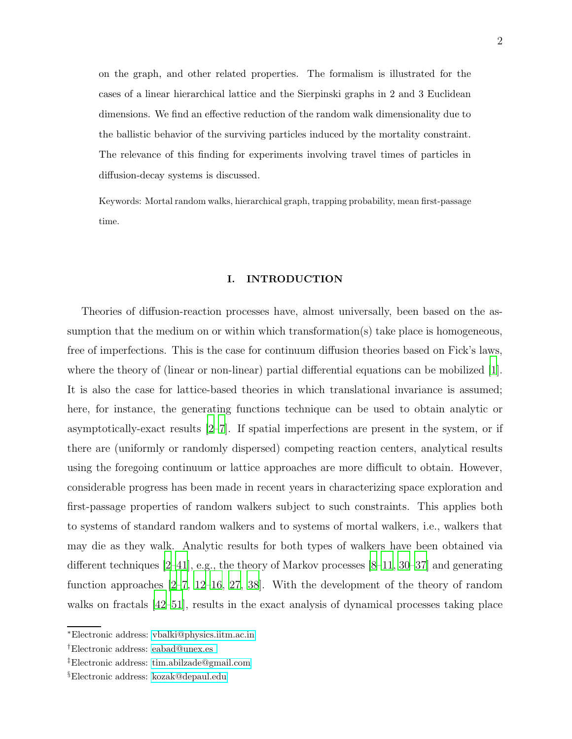on the graph, and other related properties. The formalism is illustrated for the cases of a linear hierarchical lattice and the Sierpinski graphs in 2 and 3 Euclidean dimensions. We find an effective reduction of the random walk dimensionality due to the ballistic behavior of the surviving particles induced by the mortality constraint. The relevance of this finding for experiments involving travel times of particles in diffusion-decay systems is discussed.

Keywords: Mortal random walks, hierarchical graph, trapping probability, mean first-passage time.

# I. INTRODUCTION

Theories of diffusion-reaction processes have, almost universally, been based on the assumption that the medium on or within which transformation(s) take place is homogeneous, free of imperfections. This is the case for continuum diffusion theories based on Fick's laws, where the theory of (linear or non-linear) partial differential equations can be mobilized [\[1\]](#page-37-0). It is also the case for lattice-based theories in which translational invariance is assumed; here, for instance, the generating functions technique can be used to obtain analytic or asymptotically-exact results [\[2](#page-37-1)[–7\]](#page-37-2). If spatial imperfections are present in the system, or if there are (uniformly or randomly dispersed) competing reaction centers, analytical results using the foregoing continuum or lattice approaches are more difficult to obtain. However, considerable progress has been made in recent years in characterizing space exploration and first-passage properties of random walkers subject to such constraints. This applies both to systems of standard random walkers and to systems of mortal walkers, i.e., walkers that may die as they walk. Analytic results for both types of walkers have been obtained via different techniques [\[2](#page-37-1)[–41\]](#page-38-0), e.g., the theory of Markov processes [\[8](#page-37-3)[–11,](#page-37-4) [30](#page-38-1)[–37\]](#page-38-2) and generating function approaches [\[2](#page-37-1)[–7,](#page-37-2) [12](#page-37-5)[–16,](#page-37-6) [27,](#page-38-3) [38](#page-38-4)]. With the development of the theory of random walks on fractals [\[42](#page-38-5)[–51](#page-39-0)], results in the exact analysis of dynamical processes taking place

<span id="page-1-1"></span><span id="page-1-0"></span><sup>∗</sup>Electronic address: [vbalki@physics.iitm.ac.in](mailto:vbalki@physics.iitm.ac.in)

<span id="page-1-2"></span><sup>†</sup>Electronic address: [eabad@unex.es](mailto:eabad@unex.es )

<span id="page-1-3"></span><sup>‡</sup>Electronic address: [tim.abilzade@gmail.com](mailto:tim.abilzade@gmail.com)

<sup>§</sup>Electronic address: [kozak@depaul.edu](mailto:kozak@depaul.edu)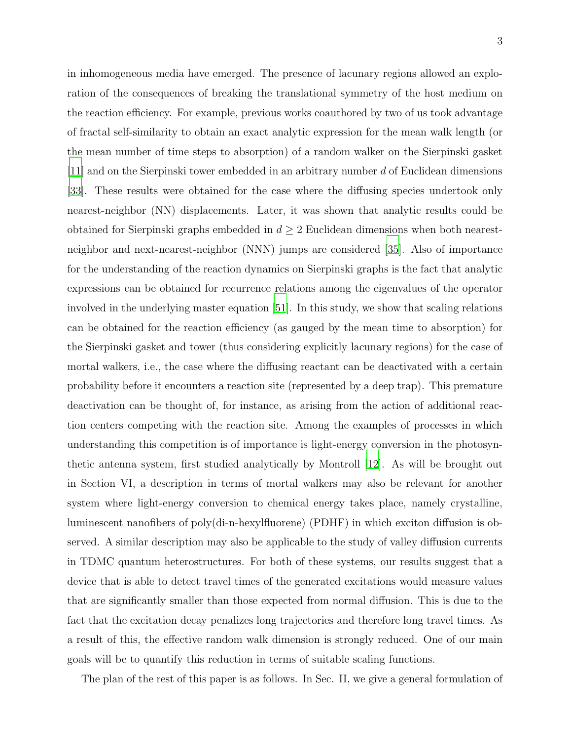in inhomogeneous media have emerged. The presence of lacunary regions allowed an exploration of the consequences of breaking the translational symmetry of the host medium on the reaction efficiency. For example, previous works coauthored by two of us took advantage of fractal self-similarity to obtain an exact analytic expression for the mean walk length (or the mean number of time steps to absorption) of a random walker on the Sierpinski gasket [\[11\]](#page-37-4) and on the Sierpinski tower embedded in an arbitrary number d of Euclidean dimensions [\[33\]](#page-38-6). These results were obtained for the case where the diffusing species undertook only nearest-neighbor (NN) displacements. Later, it was shown that analytic results could be obtained for Sierpinski graphs embedded in  $d \geq 2$  Euclidean dimensions when both nearestneighbor and next-nearest-neighbor (NNN) jumps are considered [\[35\]](#page-38-7). Also of importance for the understanding of the reaction dynamics on Sierpinski graphs is the fact that analytic expressions can be obtained for recurrence relations among the eigenvalues of the operator involved in the underlying master equation [\[51](#page-39-0)]. In this study, we show that scaling relations can be obtained for the reaction efficiency (as gauged by the mean time to absorption) for the Sierpinski gasket and tower (thus considering explicitly lacunary regions) for the case of mortal walkers, i.e., the case where the diffusing reactant can be deactivated with a certain probability before it encounters a reaction site (represented by a deep trap). This premature deactivation can be thought of, for instance, as arising from the action of additional reaction centers competing with the reaction site. Among the examples of processes in which understanding this competition is of importance is light-energy conversion in the photosynthetic antenna system, first studied analytically by Montroll [\[12](#page-37-5)]. As will be brought out in Section VI, a description in terms of mortal walkers may also be relevant for another system where light-energy conversion to chemical energy takes place, namely crystalline, luminescent nanofibers of poly(di-n-hexylfluorene) (PDHF) in which exciton diffusion is observed. A similar description may also be applicable to the study of valley diffusion currents in TDMC quantum heterostructures. For both of these systems, our results suggest that a device that is able to detect travel times of the generated excitations would measure values that are significantly smaller than those expected from normal diffusion. This is due to the fact that the excitation decay penalizes long trajectories and therefore long travel times. As a result of this, the effective random walk dimension is strongly reduced. One of our main goals will be to quantify this reduction in terms of suitable scaling functions.

The plan of the rest of this paper is as follows. In Sec. II, we give a general formulation of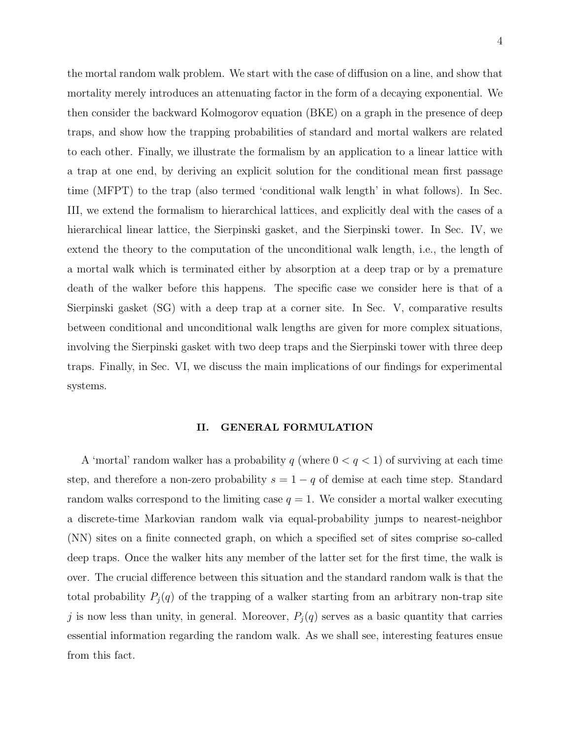the mortal random walk problem. We start with the case of diffusion on a line, and show that mortality merely introduces an attenuating factor in the form of a decaying exponential. We then consider the backward Kolmogorov equation (BKE) on a graph in the presence of deep traps, and show how the trapping probabilities of standard and mortal walkers are related to each other. Finally, we illustrate the formalism by an application to a linear lattice with a trap at one end, by deriving an explicit solution for the conditional mean first passage time (MFPT) to the trap (also termed 'conditional walk length' in what follows). In Sec. III, we extend the formalism to hierarchical lattices, and explicitly deal with the cases of a hierarchical linear lattice, the Sierpinski gasket, and the Sierpinski tower. In Sec. IV, we extend the theory to the computation of the unconditional walk length, i.e., the length of a mortal walk which is terminated either by absorption at a deep trap or by a premature death of the walker before this happens. The specific case we consider here is that of a Sierpinski gasket (SG) with a deep trap at a corner site. In Sec. V, comparative results between conditional and unconditional walk lengths are given for more complex situations, involving the Sierpinski gasket with two deep traps and the Sierpinski tower with three deep traps. Finally, in Sec. VI, we discuss the main implications of our findings for experimental

systems.

#### II. GENERAL FORMULATION

A 'mortal' random walker has a probability q (where  $0 < q < 1$ ) of surviving at each time step, and therefore a non-zero probability  $s = 1 - q$  of demise at each time step. Standard random walks correspond to the limiting case  $q = 1$ . We consider a mortal walker executing a discrete-time Markovian random walk via equal-probability jumps to nearest-neighbor (NN) sites on a finite connected graph, on which a specified set of sites comprise so-called deep traps. Once the walker hits any member of the latter set for the first time, the walk is over. The crucial difference between this situation and the standard random walk is that the total probability  $P_j(q)$  of the trapping of a walker starting from an arbitrary non-trap site j is now less than unity, in general. Moreover,  $P_j(q)$  serves as a basic quantity that carries essential information regarding the random walk. As we shall see, interesting features ensue from this fact.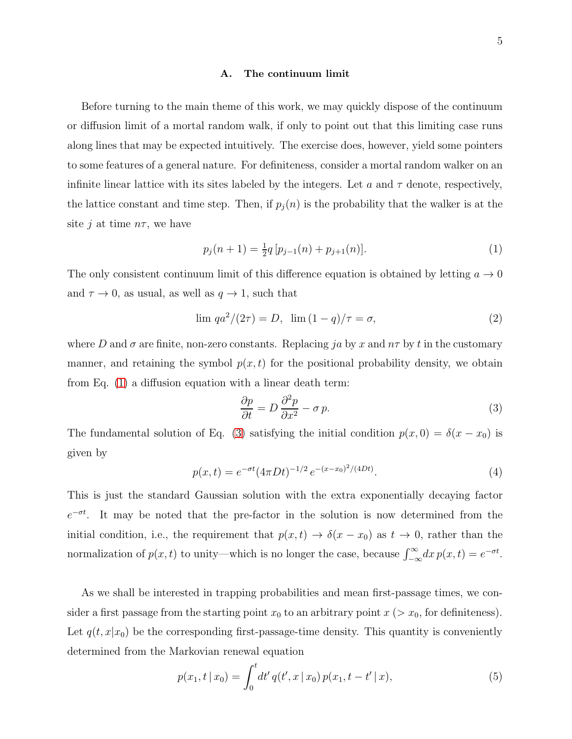#### A. The continuum limit

Before turning to the main theme of this work, we may quickly dispose of the continuum or diffusion limit of a mortal random walk, if only to point out that this limiting case runs along lines that may be expected intuitively. The exercise does, however, yield some pointers to some features of a general nature. For definiteness, consider a mortal random walker on an infinite linear lattice with its sites labeled by the integers. Let a and  $\tau$  denote, respectively, the lattice constant and time step. Then, if  $p_i(n)$  is the probability that the walker is at the site j at time  $n\tau$ , we have

<span id="page-4-0"></span>
$$
p_j(n+1) = \frac{1}{2}q \left[ p_{j-1}(n) + p_{j+1}(n) \right]. \tag{1}
$$

The only consistent continuum limit of this difference equation is obtained by letting  $a \to 0$ and  $\tau \to 0$ , as usual, as well as  $q \to 1$ , such that

$$
\lim q a^2 / (2\tau) = D, \ \lim (1 - q) / \tau = \sigma,
$$
\n(2)

where D and  $\sigma$  are finite, non-zero constants. Replacing ja by x and  $n\tau$  by t in the customary manner, and retaining the symbol  $p(x, t)$  for the positional probability density, we obtain from Eq. [\(1\)](#page-4-0) a diffusion equation with a linear death term:

<span id="page-4-1"></span>
$$
\frac{\partial p}{\partial t} = D \frac{\partial^2 p}{\partial x^2} - \sigma p. \tag{3}
$$

The fundamental solution of Eq. [\(3\)](#page-4-1) satisfying the initial condition  $p(x, 0) = \delta(x - x_0)$  is given by

<span id="page-4-2"></span>
$$
p(x,t) = e^{-\sigma t} (4\pi Dt)^{-1/2} e^{-(x-x_0)^2/(4Dt)}.
$$
\n(4)

This is just the standard Gaussian solution with the extra exponentially decaying factor  $e^{-\sigma t}$ . It may be noted that the pre-factor in the solution is now determined from the initial condition, i.e., the requirement that  $p(x, t) \rightarrow \delta(x - x_0)$  as  $t \rightarrow 0$ , rather than the normalization of  $p(x,t)$  to unity—which is no longer the case, because  $\int_{-\infty}^{\infty} dx p(x,t) = e^{-\sigma t}$ .

As we shall be interested in trapping probabilities and mean first-passage times, we consider a first passage from the starting point  $x_0$  to an arbitrary point  $x > x_0$ , for definiteness). Let  $q(t, x|x_0)$  be the corresponding first-passage-time density. This quantity is conveniently determined from the Markovian renewal equation

$$
p(x_1, t \mid x_0) = \int_0^t dt' \, q(t', x \mid x_0) \, p(x_1, t - t' \mid x), \tag{5}
$$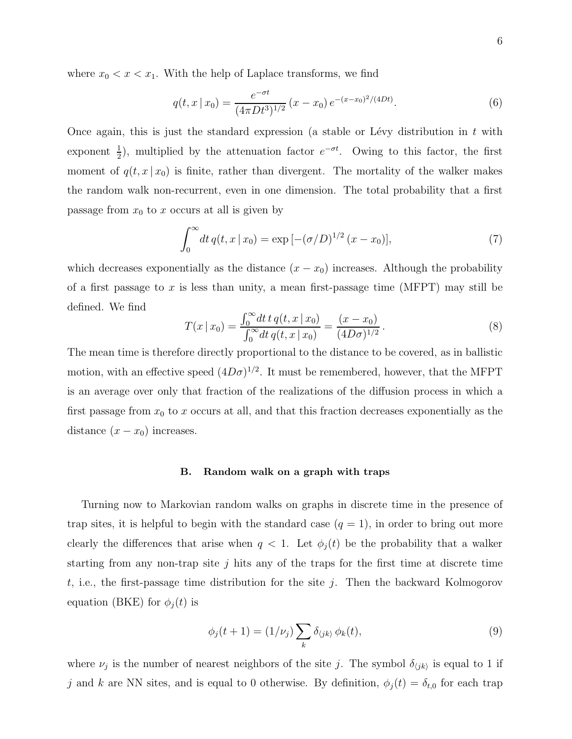where  $x_0 < x < x_1$ . With the help of Laplace transforms, we find

$$
q(t,x \mid x_0) = \frac{e^{-\sigma t}}{(4\pi Dt^3)^{1/2}} (x - x_0) e^{-(x - x_0)^2/(4Dt)}.
$$
 (6)

Once again, this is just the standard expression (a stable or Lévy distribution in t with exponent  $\frac{1}{2}$ ), multiplied by the attenuation factor  $e^{-\sigma t}$ . Owing to this factor, the first moment of  $q(t, x | x_0)$  is finite, rather than divergent. The mortality of the walker makes the random walk non-recurrent, even in one dimension. The total probability that a first passage from  $x_0$  to x occurs at all is given by

$$
\int_0^\infty dt \, q(t, x \mid x_0) = \exp[-(\sigma/D)^{1/2} (x - x_0)],\tag{7}
$$

which decreases exponentially as the distance  $(x - x_0)$  increases. Although the probability of a first passage to x is less than unity, a mean first-passage time (MFPT) may still be defined. We find

<span id="page-5-1"></span>
$$
T(x \mid x_0) = \frac{\int_0^\infty dt \, t \, q(t, x \mid x_0)}{\int_0^\infty dt \, q(t, x \mid x_0)} = \frac{(x - x_0)}{(4D\sigma)^{1/2}}.
$$
\n
$$
(8)
$$

The mean time is therefore directly proportional to the distance to be covered, as in ballistic motion, with an effective speed  $(4D\sigma)^{1/2}$ . It must be remembered, however, that the MFPT is an average over only that fraction of the realizations of the diffusion process in which a first passage from  $x_0$  to x occurs at all, and that this fraction decreases exponentially as the distance  $(x - x_0)$  increases.

# B. Random walk on a graph with traps

Turning now to Markovian random walks on graphs in discrete time in the presence of trap sites, it is helpful to begin with the standard case  $(q = 1)$ , in order to bring out more clearly the differences that arise when  $q < 1$ . Let  $\phi_i(t)$  be the probability that a walker starting from any non-trap site  $j$  hits any of the traps for the first time at discrete time t, i.e., the first-passage time distribution for the site j. Then the backward Kolmogorov equation (BKE) for  $\phi_j(t)$  is

<span id="page-5-0"></span>
$$
\phi_j(t+1) = (1/\nu_j) \sum_k \delta_{\langle jk \rangle} \phi_k(t), \tag{9}
$$

where  $\nu_j$  is the number of nearest neighbors of the site j. The symbol  $\delta_{\langle jk \rangle}$  is equal to 1 if j and k are NN sites, and is equal to 0 otherwise. By definition,  $\phi_j(t) = \delta_{t,0}$  for each trap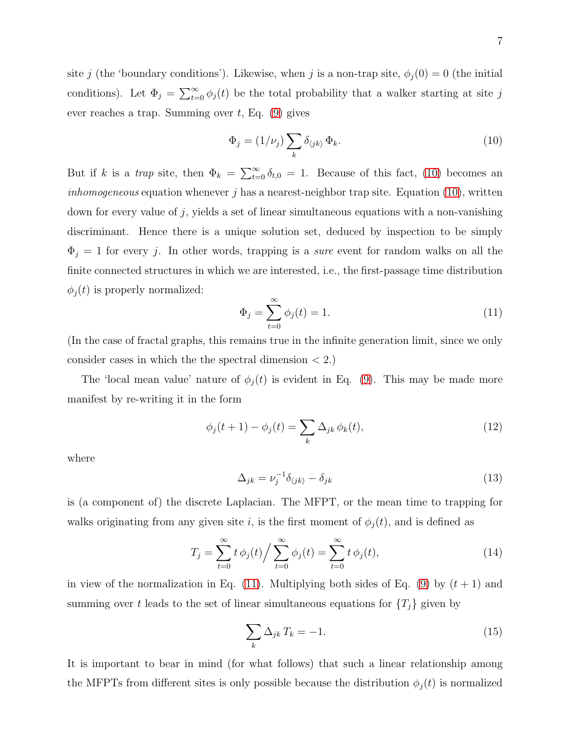site j (the 'boundary conditions'). Likewise, when j is a non-trap site,  $\phi_j(0) = 0$  (the initial conditions). Let  $\Phi_j = \sum_{t=0}^{\infty} \phi_j(t)$  be the total probability that a walker starting at site j ever reaches a trap. Summing over  $t$ , Eq.  $(9)$  gives

<span id="page-6-0"></span>
$$
\Phi_j = (1/\nu_j) \sum_k \delta_{\langle jk \rangle} \Phi_k.
$$
\n(10)

But if k is a trap site, then  $\Phi_k = \sum_{t=0}^{\infty} \delta_{t,0} = 1$ . Because of this fact, [\(10\)](#page-6-0) becomes an *inhomogeneous* equation whenever  $j$  has a nearest-neighbor trap site. Equation [\(10\)](#page-6-0), written down for every value of  $j$ , yields a set of linear simultaneous equations with a non-vanishing discriminant. Hence there is a unique solution set, deduced by inspection to be simply  $\Phi_j = 1$  for every j. In other words, trapping is a *sure* event for random walks on all the finite connected structures in which we are interested, i.e., the first-passage time distribution  $\phi_j(t)$  is properly normalized:

<span id="page-6-1"></span>
$$
\Phi_j = \sum_{t=0}^{\infty} \phi_j(t) = 1.
$$
\n(11)

(In the case of fractal graphs, this remains true in the infinite generation limit, since we only consider cases in which the the spectral dimension  $\langle 2. \rangle$ 

The 'local mean value' nature of  $\phi_j(t)$  is evident in Eq. [\(9\)](#page-5-0). This may be made more manifest by re-writing it in the form

$$
\phi_j(t+1) - \phi_j(t) = \sum_k \Delta_{jk} \phi_k(t), \qquad (12)
$$

where

$$
\Delta_{jk} = \nu_j^{-1} \delta_{\langle jk \rangle} - \delta_{jk} \tag{13}
$$

is (a component of) the discrete Laplacian. The MFPT, or the mean time to trapping for walks originating from any given site i, is the first moment of  $\phi_j(t)$ , and is defined as

$$
T_j = \sum_{t=0}^{\infty} t \phi_j(t) / \sum_{t=0}^{\infty} \phi_j(t) = \sum_{t=0}^{\infty} t \phi_j(t),
$$
 (14)

in view of the normalization in Eq. [\(11\)](#page-6-1). Multiplying both sides of Eq. [\(9\)](#page-5-0) by  $(t + 1)$  and summing over t leads to the set of linear simultaneous equations for  $\{T_j\}$  given by

<span id="page-6-2"></span>
$$
\sum_{k} \Delta_{jk} T_k = -1. \tag{15}
$$

It is important to bear in mind (for what follows) that such a linear relationship among the MFPTs from different sites is only possible because the distribution  $\phi_j(t)$  is normalized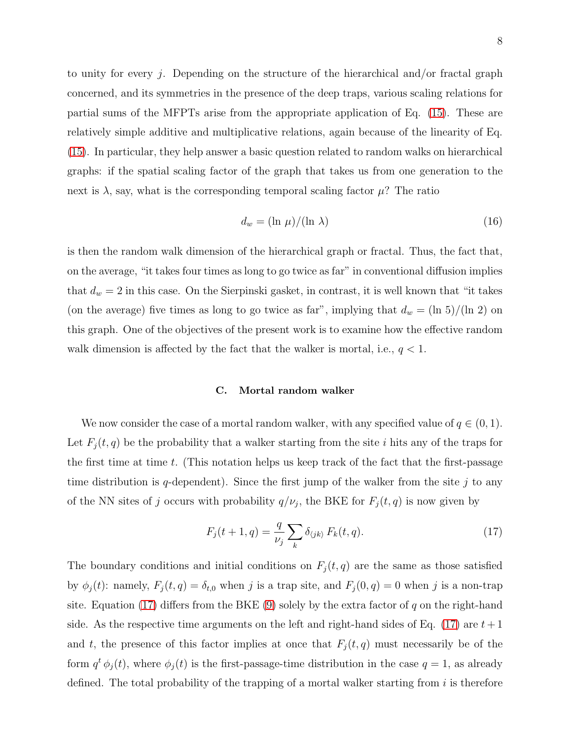to unity for every j. Depending on the structure of the hierarchical and/or fractal graph concerned, and its symmetries in the presence of the deep traps, various scaling relations for partial sums of the MFPTs arise from the appropriate application of Eq. [\(15\)](#page-6-2). These are relatively simple additive and multiplicative relations, again because of the linearity of Eq. [\(15\)](#page-6-2). In particular, they help answer a basic question related to random walks on hierarchical graphs: if the spatial scaling factor of the graph that takes us from one generation to the next is  $\lambda$ , say, what is the corresponding temporal scaling factor  $\mu$ ? The ratio

$$
d_w = (\ln \mu) / (\ln \lambda) \tag{16}
$$

is then the random walk dimension of the hierarchical graph or fractal. Thus, the fact that, on the average, "it takes four times as long to go twice as far" in conventional diffusion implies that  $d_w = 2$  in this case. On the Sierpinski gasket, in contrast, it is well known that "it takes" (on the average) five times as long to go twice as far", implying that  $d_w = (\ln 5)/(\ln 2)$  on this graph. One of the objectives of the present work is to examine how the effective random walk dimension is affected by the fact that the walker is mortal, i.e.,  $q < 1$ .

#### C. Mortal random walker

We now consider the case of a mortal random walker, with any specified value of  $q \in (0,1)$ . Let  $F_j(t, q)$  be the probability that a walker starting from the site i hits any of the traps for the first time at time  $t$ . (This notation helps us keep track of the fact that the first-passage time distribution is q-dependent). Since the first jump of the walker from the site  $j$  to any of the NN sites of j occurs with probability  $q/\nu_j$ , the BKE for  $F_j(t,q)$  is now given by

<span id="page-7-0"></span>
$$
F_j(t+1,q) = \frac{q}{\nu_j} \sum_k \delta_{\langle jk \rangle} F_k(t,q). \tag{17}
$$

The boundary conditions and initial conditions on  $F_j(t, q)$  are the same as those satisfied by  $\phi_j(t)$ : namely,  $F_j(t,q) = \delta_{t,0}$  when j is a trap site, and  $F_j(0,q) = 0$  when j is a non-trap site. Equation [\(17\)](#page-7-0) differs from the BKE [\(9\)](#page-5-0) solely by the extra factor of q on the right-hand side. As the respective time arguments on the left and right-hand sides of Eq. [\(17\)](#page-7-0) are  $t+1$ and t, the presence of this factor implies at once that  $F_j(t,q)$  must necessarily be of the form  $q^t \phi_j(t)$ , where  $\phi_j(t)$  is the first-passage-time distribution in the case  $q = 1$ , as already defined. The total probability of the trapping of a mortal walker starting from  $i$  is therefore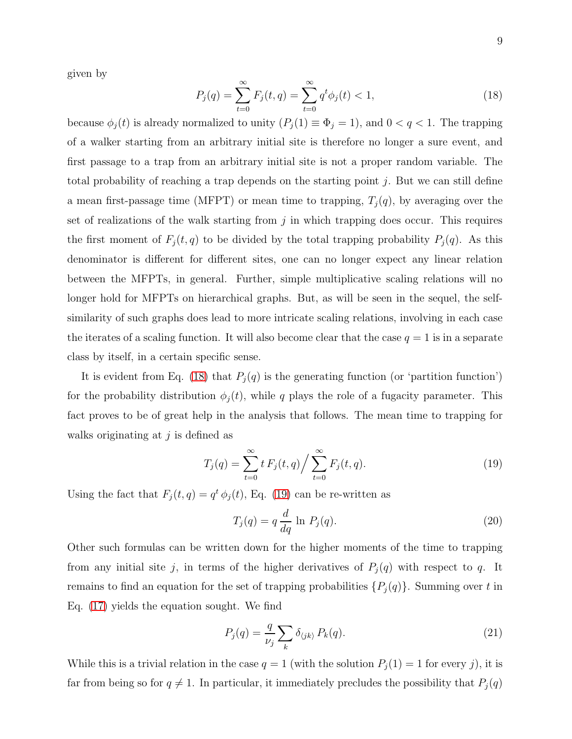given by

<span id="page-8-0"></span>
$$
P_j(q) = \sum_{t=0}^{\infty} F_j(t, q) = \sum_{t=0}^{\infty} q^t \phi_j(t) < 1,\tag{18}
$$

because  $\phi_j(t)$  is already normalized to unity  $(P_j(1) \equiv \Phi_j = 1)$ , and  $0 < q < 1$ . The trapping of a walker starting from an arbitrary initial site is therefore no longer a sure event, and first passage to a trap from an arbitrary initial site is not a proper random variable. The total probability of reaching a trap depends on the starting point  $j$ . But we can still define a mean first-passage time (MFPT) or mean time to trapping,  $T_j(q)$ , by averaging over the set of realizations of the walk starting from  $j$  in which trapping does occur. This requires the first moment of  $F_j(t, q)$  to be divided by the total trapping probability  $P_j(q)$ . As this denominator is different for different sites, one can no longer expect any linear relation between the MFPTs, in general. Further, simple multiplicative scaling relations will no longer hold for MFPTs on hierarchical graphs. But, as will be seen in the sequel, the selfsimilarity of such graphs does lead to more intricate scaling relations, involving in each case the iterates of a scaling function. It will also become clear that the case  $q = 1$  is in a separate class by itself, in a certain specific sense.

It is evident from Eq. [\(18\)](#page-8-0) that  $P_j(q)$  is the generating function (or 'partition function') for the probability distribution  $\phi_j(t)$ , while q plays the role of a fugacity parameter. This fact proves to be of great help in the analysis that follows. The mean time to trapping for walks originating at  $j$  is defined as

<span id="page-8-1"></span>
$$
T_j(q) = \sum_{t=0}^{\infty} t F_j(t, q) / \sum_{t=0}^{\infty} F_j(t, q).
$$
 (19)

Using the fact that  $F_j(t,q) = q^t \phi_j(t)$ , Eq. [\(19\)](#page-8-1) can be re-written as

<span id="page-8-3"></span>
$$
T_j(q) = q \frac{d}{dq} \ln P_j(q). \tag{20}
$$

Other such formulas can be written down for the higher moments of the time to trapping from any initial site j, in terms of the higher derivatives of  $P_j(q)$  with respect to q. It remains to find an equation for the set of trapping probabilities  $\{P_j(q)\}\$ . Summing over t in Eq. [\(17\)](#page-7-0) yields the equation sought. We find

<span id="page-8-2"></span>
$$
P_j(q) = \frac{q}{\nu_j} \sum_k \delta_{\langle jk \rangle} P_k(q). \tag{21}
$$

While this is a trivial relation in the case  $q = 1$  (with the solution  $P_j(1) = 1$  for every j), it is far from being so for  $q \neq 1$ . In particular, it immediately precludes the possibility that  $P_j(q)$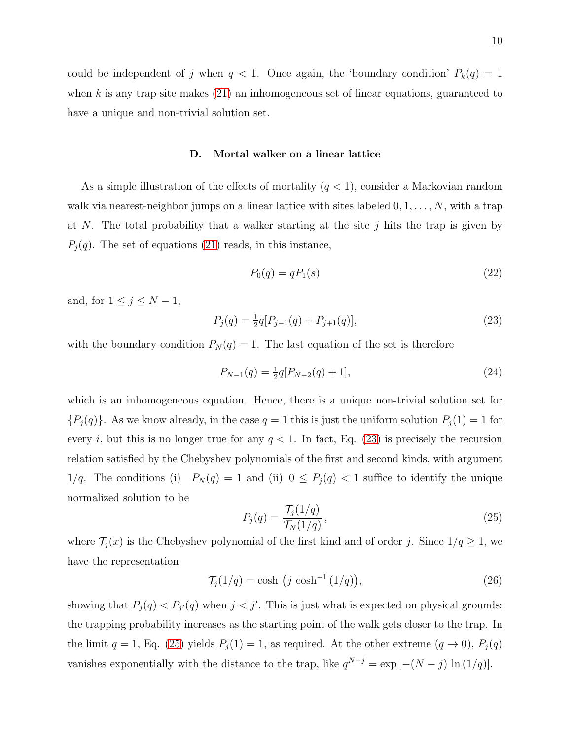could be independent of j when  $q < 1$ . Once again, the 'boundary condition'  $P_k(q) = 1$ when k is any trap site makes  $(21)$  an inhomogeneous set of linear equations, guaranteed to have a unique and non-trivial solution set.

#### D. Mortal walker on a linear lattice

As a simple illustration of the effects of mortality  $(q < 1)$ , consider a Markovian random walk via nearest-neighbor jumps on a linear lattice with sites labeled  $0, 1, \ldots, N$ , with a trap at N. The total probability that a walker starting at the site  $j$  hits the trap is given by  $P_j(q)$ . The set of equations [\(21\)](#page-8-2) reads, in this instance,

<span id="page-9-2"></span>
$$
P_0(q) = qP_1(s) \tag{22}
$$

and, for  $1 \leq j \leq N-1$ ,

<span id="page-9-0"></span>
$$
P_j(q) = \frac{1}{2}q[P_{j-1}(q) + P_{j+1}(q)],\tag{23}
$$

with the boundary condition  $P_N(q) = 1$ . The last equation of the set is therefore

<span id="page-9-3"></span>
$$
P_{N-1}(q) = \frac{1}{2}q[P_{N-2}(q) + 1],\tag{24}
$$

which is an inhomogeneous equation. Hence, there is a unique non-trivial solution set for  ${P_j(q)}$ . As we know already, in the case  $q = 1$  this is just the uniform solution  $P_j(1) = 1$  for every i, but this is no longer true for any  $q < 1$ . In fact, Eq. [\(23\)](#page-9-0) is precisely the recursion relation satisfied by the Chebyshev polynomials of the first and second kinds, with argument 1/q. The conditions (i)  $P_N(q) = 1$  and (ii)  $0 \le P_j(q) < 1$  suffice to identify the unique normalized solution to be

<span id="page-9-1"></span>
$$
P_j(q) = \frac{\mathcal{T}_j(1/q)}{\mathcal{T}_N(1/q)},\tag{25}
$$

where  $\mathcal{T}_j(x)$  is the Chebyshev polynomial of the first kind and of order j. Since  $1/q \geq 1$ , we have the representation

$$
\mathcal{T}_j(1/q) = \cosh\left(j\cosh^{-1}(1/q)\right),\tag{26}
$$

showing that  $P_j(q) < P_{j'}(q)$  when  $j < j'$ . This is just what is expected on physical grounds: the trapping probability increases as the starting point of the walk gets closer to the trap. In the limit  $q = 1$ , Eq. [\(25\)](#page-9-1) yields  $P_j(1) = 1$ , as required. At the other extreme  $(q \to 0)$ ,  $P_j(q)$ vanishes exponentially with the distance to the trap, like  $q^{N-j} = \exp[-(N-j) \ln(1/q)].$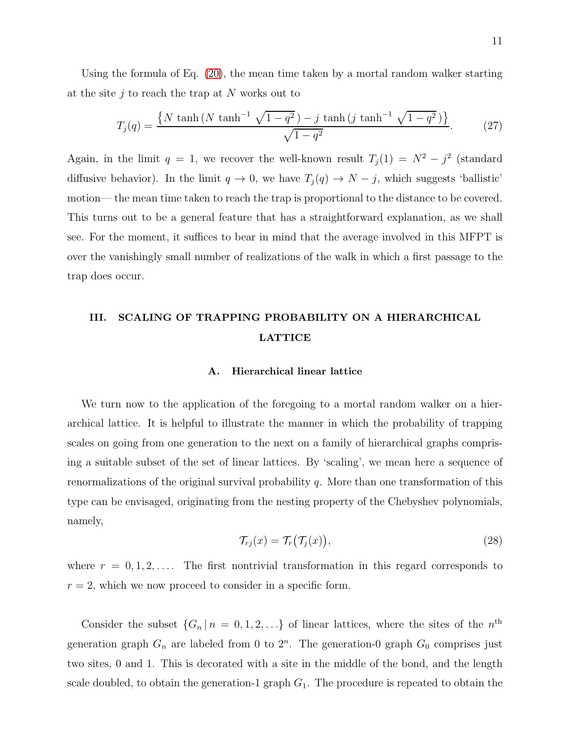Using the formula of Eq. [\(20\)](#page-8-3), the mean time taken by a mortal random walker starting at the site  $i$  to reach the trap at N works out to

<span id="page-10-0"></span>
$$
T_j(q) = \frac{\{N \tanh\left(N \tanh^{-1} \sqrt{1 - q^2}\right) - j \tanh\left(j \tanh^{-1} \sqrt{1 - q^2}\right)\}}{\sqrt{1 - q^2}}.
$$
 (27)

Again, in the limit  $q = 1$ , we recover the well-known result  $T_j(1) = N^2 - j^2$  (standard diffusive behavior). In the limit  $q \to 0$ , we have  $T_j(q) \to N - j$ , which suggests 'ballistic' motion— the mean time taken to reach the trap is proportional to the distance to be covered. This turns out to be a general feature that has a straightforward explanation, as we shall see. For the moment, it suffices to bear in mind that the average involved in this MFPT is over the vanishingly small number of realizations of the walk in which a first passage to the trap does occur.

# III. SCALING OF TRAPPING PROBABILITY ON A HIERARCHICAL LATTICE

#### A. Hierarchical linear lattice

We turn now to the application of the foregoing to a mortal random walker on a hierarchical lattice. It is helpful to illustrate the manner in which the probability of trapping scales on going from one generation to the next on a family of hierarchical graphs comprising a suitable subset of the set of linear lattices. By 'scaling', we mean here a sequence of renormalizations of the original survival probability  $q$ . More than one transformation of this type can be envisaged, originating from the nesting property of the Chebyshev polynomials, namely,

<span id="page-10-1"></span>
$$
\mathcal{T}_{rj}(x) = \mathcal{T}_r(\mathcal{T}_j(x)),\tag{28}
$$

where  $r = 0, 1, 2, \ldots$  The first nontrivial transformation in this regard corresponds to  $r = 2$ , which we now proceed to consider in a specific form.

Consider the subset  $\{G_n | n = 0, 1, 2, ...\}$  of linear lattices, where the sites of the  $n^{\text{th}}$ generation graph  $G_n$  are labeled from 0 to  $2^n$ . The generation-0 graph  $G_0$  comprises just two sites, 0 and 1. This is decorated with a site in the middle of the bond, and the length scale doubled, to obtain the generation-1 graph  $G_1$ . The procedure is repeated to obtain the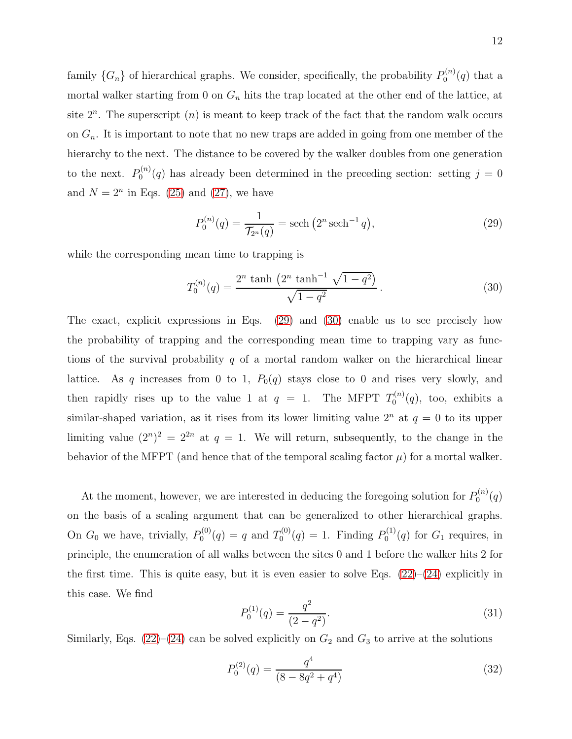family  $\{G_n\}$  of hierarchical graphs. We consider, specifically, the probability  $P_0^{(n)}$  $\mathfrak{g}_0^{(n)}(q)$  that a mortal walker starting from 0 on  $G_n$  hits the trap located at the other end of the lattice, at site  $2^n$ . The superscript  $(n)$  is meant to keep track of the fact that the random walk occurs on  $G_n$ . It is important to note that no new traps are added in going from one member of the hierarchy to the next. The distance to be covered by the walker doubles from one generation to the next.  $P_0^{(n)}$  $0^{(n)}(q)$  has already been determined in the preceding section: setting  $j = 0$ and  $N = 2<sup>n</sup>$  in Eqs. [\(25\)](#page-9-1) and [\(27\)](#page-10-0), we have

<span id="page-11-0"></span>
$$
P_0^{(n)}(q) = \frac{1}{\mathcal{T}_{2^n}(q)} = \text{sech}\left(2^n \,\text{sech}^{-1} \,q\right),\tag{29}
$$

while the corresponding mean time to trapping is

<span id="page-11-1"></span>
$$
T_0^{(n)}(q) = \frac{2^n \tanh\left(2^n \tanh^{-1} \sqrt{1 - q^2}\right)}{\sqrt{1 - q^2}}.
$$
\n(30)

The exact, explicit expressions in Eqs. [\(29\)](#page-11-0) and [\(30\)](#page-11-1) enable us to see precisely how the probability of trapping and the corresponding mean time to trapping vary as functions of the survival probability q of a mortal random walker on the hierarchical linear lattice. As q increases from 0 to 1,  $P_0(q)$  stays close to 0 and rises very slowly, and then rapidly rises up to the value 1 at  $q = 1$ . The MFPT  $T_0^{(n)}$  $\mathfrak{g}^{(n)}(q)$ , too, exhibits a similar-shaped variation, as it rises from its lower limiting value  $2^n$  at  $q = 0$  to its upper limiting value  $(2^n)^2 = 2^{2n}$  at  $q = 1$ . We will return, subsequently, to the change in the behavior of the MFPT (and hence that of the temporal scaling factor  $\mu$ ) for a mortal walker.

At the moment, however, we are interested in deducing the foregoing solution for  $P_0^{(n)}$  $\binom{n}{0}(q)$ on the basis of a scaling argument that can be generalized to other hierarchical graphs. On  $G_0$  we have, trivially,  $P_0^{(0)}$  $Q_0^{(0)}(q) = q$  and  $T_0^{(0)}$  $D_0^{(0)}(q) = 1$ . Finding  $P_0^{(1)}$  $O_0^{(1)}(q)$  for  $G_1$  requires, in principle, the enumeration of all walks between the sites 0 and 1 before the walker hits 2 for the first time. This is quite easy, but it is even easier to solve Eqs.  $(22)–(24)$  $(22)–(24)$  explicitly in this case. We find

<span id="page-11-3"></span>
$$
P_0^{(1)}(q) = \frac{q^2}{(2 - q^2)}.\t(31)
$$

Similarly, Eqs. [\(22\)](#page-9-2)–[\(24\)](#page-9-3) can be solved explicitly on  $G_2$  and  $G_3$  to arrive at the solutions

<span id="page-11-2"></span>
$$
P_0^{(2)}(q) = \frac{q^4}{(8 - 8q^2 + q^4)}
$$
\n(32)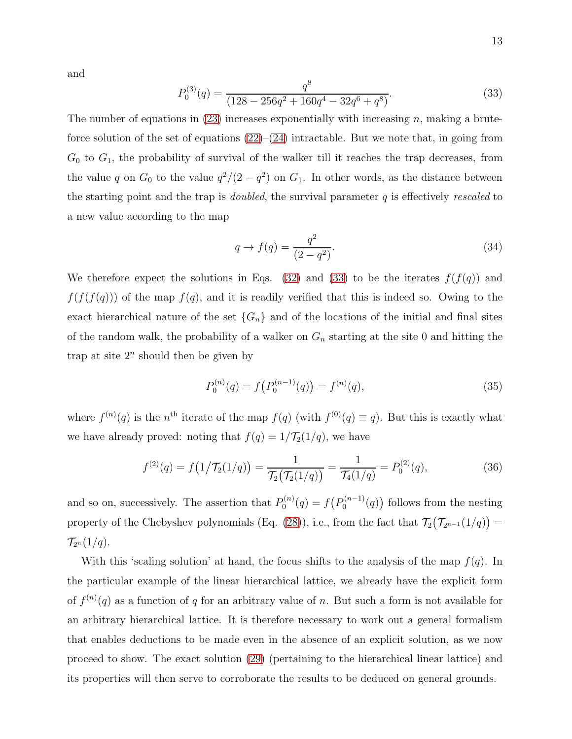and

<span id="page-12-0"></span>
$$
P_0^{(3)}(q) = \frac{q^8}{(128 - 256q^2 + 160q^4 - 32q^6 + q^8)}.\tag{33}
$$

The number of equations in  $(23)$  increases exponentially with increasing n, making a bruteforce solution of the set of equations  $(22)$ – $(24)$  intractable. But we note that, in going from  $G_0$  to  $G_1$ , the probability of survival of the walker till it reaches the trap decreases, from the value q on  $G_0$  to the value  $q^2/(2-q^2)$  on  $G_1$ . In other words, as the distance between the starting point and the trap is *doubled*, the survival parameter  $q$  is effectively rescaled to a new value according to the map

<span id="page-12-1"></span>
$$
q \to f(q) = \frac{q^2}{(2 - q^2)}.\tag{34}
$$

We therefore expect the solutions in Eqs. [\(32\)](#page-11-2) and [\(33\)](#page-12-0) to be the iterates  $f(f(q))$  and  $f(f(f(q)))$  of the map  $f(q)$ , and it is readily verified that this is indeed so. Owing to the exact hierarchical nature of the set  $\{G_n\}$  and of the locations of the initial and final sites of the random walk, the probability of a walker on  $G_n$  starting at the site 0 and hitting the trap at site  $2^n$  should then be given by

<span id="page-12-2"></span>
$$
P_0^{(n)}(q) = f(P_0^{(n-1)}(q)) = f^{(n)}(q),
$$
\n(35)

where  $f^{(n)}(q)$  is the n<sup>th</sup> iterate of the map  $f(q)$  (with  $f^{(0)}(q) \equiv q$ ). But this is exactly what we have already proved: noting that  $f(q) = 1/\mathcal{T}_2(1/q)$ , we have

$$
f^{(2)}(q) = f(1/\mathcal{T}_2(1/q)) = \frac{1}{\mathcal{T}_2(\mathcal{T}_2(1/q))} = \frac{1}{\mathcal{T}_4(1/q)} = P_0^{(2)}(q), \tag{36}
$$

and so on, successively. The assertion that  $P_0^{(n)}$  $D_0^{(n)}(q) = f(P_0^{(n-1)})$  $\binom{n-1}{0}(q)$  follows from the nesting property of the Chebyshev polynomials (Eq. [\(28\)](#page-10-1)), i.e., from the fact that  $\mathcal{T}_2(\mathcal{T}_{2^{n-1}}(1/q)) =$  $\mathcal{T}_{2^n}(1/q).$ 

With this 'scaling solution' at hand, the focus shifts to the analysis of the map  $f(q)$ . In the particular example of the linear hierarchical lattice, we already have the explicit form of  $f^{(n)}(q)$  as a function of q for an arbitrary value of n. But such a form is not available for an arbitrary hierarchical lattice. It is therefore necessary to work out a general formalism that enables deductions to be made even in the absence of an explicit solution, as we now proceed to show. The exact solution [\(29\)](#page-11-0) (pertaining to the hierarchical linear lattice) and its properties will then serve to corroborate the results to be deduced on general grounds.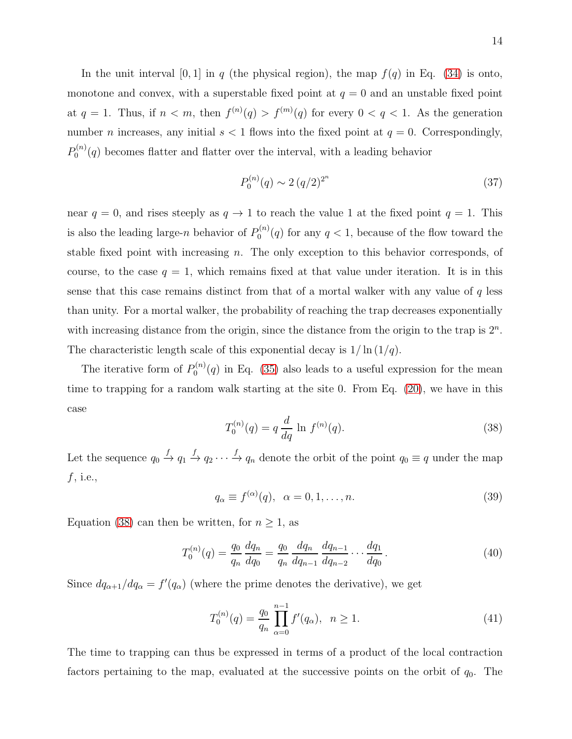In the unit interval [0, 1] in q (the physical region), the map  $f(q)$  in Eq. [\(34\)](#page-12-1) is onto, monotone and convex, with a superstable fixed point at  $q = 0$  and an unstable fixed point at  $q = 1$ . Thus, if  $n < m$ , then  $f^{(n)}(q) > f^{(m)}(q)$  for every  $0 < q < 1$ . As the generation number *n* increases, any initial  $s < 1$  flows into the fixed point at  $q = 0$ . Correspondingly,  $P_0^{(n)}$  $0^{(n)}(q)$  becomes flatter and flatter over the interval, with a leading behavior

<span id="page-13-2"></span>
$$
P_0^{(n)}(q) \sim 2 \left( q/2 \right)^{2^n} \tag{37}
$$

near  $q = 0$ , and rises steeply as  $q \to 1$  to reach the value 1 at the fixed point  $q = 1$ . This is also the leading large-*n* behavior of  $P_0^{(n)}$  $0^{(n)}(q)$  for any  $q < 1$ , because of the flow toward the stable fixed point with increasing  $n$ . The only exception to this behavior corresponds, of course, to the case  $q = 1$ , which remains fixed at that value under iteration. It is in this sense that this case remains distinct from that of a mortal walker with any value of  $q$  less than unity. For a mortal walker, the probability of reaching the trap decreases exponentially with increasing distance from the origin, since the distance from the origin to the trap is  $2<sup>n</sup>$ . The characteristic length scale of this exponential decay is  $1/\ln(1/q)$ .

The iterative form of  $P_0^{(n)}$  $0^{(n)}(q)$  in Eq. [\(35\)](#page-12-2) also leads to a useful expression for the mean time to trapping for a random walk starting at the site 0. From Eq. [\(20\)](#page-8-3), we have in this case

<span id="page-13-0"></span>
$$
T_0^{(n)}(q) = q \frac{d}{dq} \ln f^{(n)}(q). \tag{38}
$$

Let the sequence  $q_0 \stackrel{f}{\to} q_1 \stackrel{f}{\to} q_2 \cdots \stackrel{f}{\to} q_n$  denote the orbit of the point  $q_0 \equiv q$  under the map  $f$ , i.e.,

$$
q_{\alpha} \equiv f^{(\alpha)}(q), \ \alpha = 0, 1, \dots, n. \tag{39}
$$

Equation [\(38\)](#page-13-0) can then be written, for  $n \geq 1$ , as

$$
T_0^{(n)}(q) = \frac{q_0}{q_n} \frac{dq_n}{dq_0} = \frac{q_0}{q_n} \frac{dq_n}{dq_{n-1}} \frac{dq_{n-1}}{dq_{n-2}} \cdots \frac{dq_1}{dq_0}.
$$
 (40)

Since  $dq_{\alpha+1}/dq_{\alpha} = f'(q_{\alpha})$  (where the prime denotes the derivative), we get

<span id="page-13-1"></span>
$$
T_0^{(n)}(q) = \frac{q_0}{q_n} \prod_{\alpha=0}^{n-1} f'(q_\alpha), \ \ n \ge 1.
$$
 (41)

The time to trapping can thus be expressed in terms of a product of the local contraction factors pertaining to the map, evaluated at the successive points on the orbit of  $q_0$ . The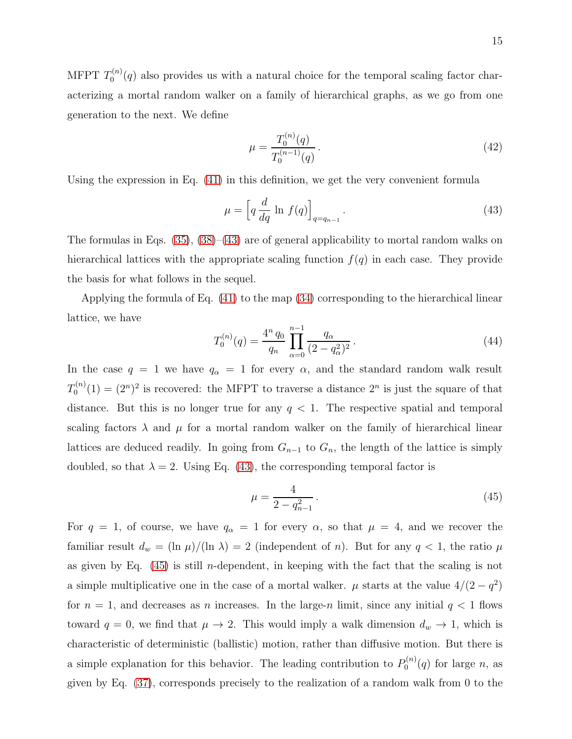MFPT  $T_{0}^{\left( n\right) }$  $\mathcal{O}_0^{(n)}(q)$  also provides us with a natural choice for the temporal scaling factor characterizing a mortal random walker on a family of hierarchical graphs, as we go from one generation to the next. We define

$$
\mu = \frac{T_0^{(n)}(q)}{T_0^{(n-1)}(q)}.
$$
\n(42)

Using the expression in Eq. [\(41\)](#page-13-1) in this definition, we get the very convenient formula

<span id="page-14-0"></span>
$$
\mu = \left[ q \frac{d}{dq} \ln f(q) \right]_{q=q_{n-1}}.
$$
\n(43)

The formulas in Eqs.  $(35)$ ,  $(38)$ – $(43)$  are of general applicability to mortal random walks on hierarchical lattices with the appropriate scaling function  $f(q)$  in each case. They provide the basis for what follows in the sequel.

Applying the formula of Eq. [\(41\)](#page-13-1) to the map [\(34\)](#page-12-1) corresponding to the hierarchical linear lattice, we have

$$
T_0^{(n)}(q) = \frac{4^n q_0}{q_n} \prod_{\alpha=0}^{n-1} \frac{q_\alpha}{(2 - q_\alpha^2)^2}.
$$
 (44)

In the case  $q = 1$  we have  $q_{\alpha} = 1$  for every  $\alpha$ , and the standard random walk result  $T_0^{(n)}$  $O_0^{(n)}(1) = (2^n)^2$  is recovered: the MFPT to traverse a distance  $2^n$  is just the square of that distance. But this is no longer true for any  $q < 1$ . The respective spatial and temporal scaling factors  $\lambda$  and  $\mu$  for a mortal random walker on the family of hierarchical linear lattices are deduced readily. In going from  $G_{n-1}$  to  $G_n$ , the length of the lattice is simply doubled, so that  $\lambda = 2$ . Using Eq. [\(43\)](#page-14-0), the corresponding temporal factor is

<span id="page-14-1"></span>
$$
\mu = \frac{4}{2 - q_{n-1}^2} \,. \tag{45}
$$

For  $q = 1$ , of course, we have  $q_{\alpha} = 1$  for every  $\alpha$ , so that  $\mu = 4$ , and we recover the familiar result  $d_w = (\ln \mu)/(\ln \lambda) = 2$  (independent of n). But for any  $q < 1$ , the ratio  $\mu$ as given by Eq.  $(45)$  is still *n*-dependent, in keeping with the fact that the scaling is not a simple multiplicative one in the case of a mortal walker.  $\mu$  starts at the value  $4/(2-q^2)$ for  $n = 1$ , and decreases as n increases. In the large-n limit, since any initial  $q < 1$  flows toward  $q = 0$ , we find that  $\mu \to 2$ . This would imply a walk dimension  $d_w \to 1$ , which is characteristic of deterministic (ballistic) motion, rather than diffusive motion. But there is a simple explanation for this behavior. The leading contribution to  $P_0^{(n)}$  $\int_0^{(n)}(q)$  for large *n*, as given by Eq. [\(37\)](#page-13-2), corresponds precisely to the realization of a random walk from 0 to the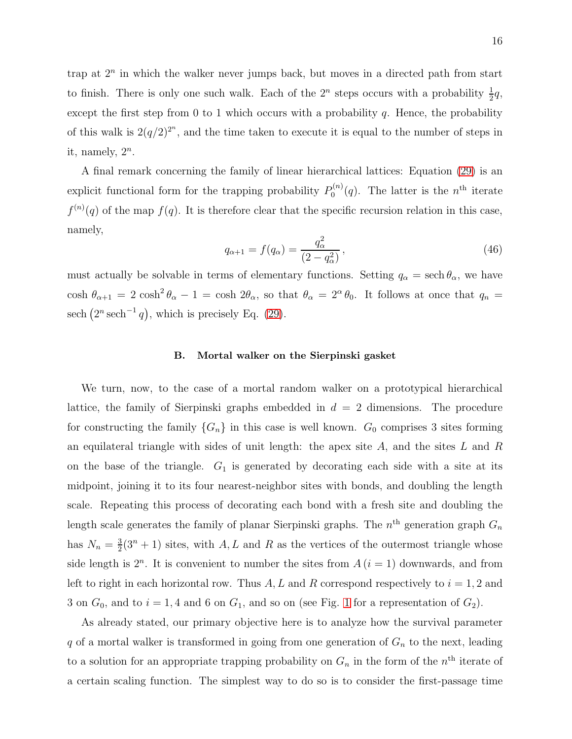trap at  $2^n$  in which the walker never jumps back, but moves in a directed path from start to finish. There is only one such walk. Each of the  $2^n$  steps occurs with a probability  $\frac{1}{2}q$ , except the first step from 0 to 1 which occurs with a probability  $q$ . Hence, the probability of this walk is  $2(q/2)^{2^n}$ , and the time taken to execute it is equal to the number of steps in it, namely,  $2^n$ .

A final remark concerning the family of linear hierarchical lattices: Equation [\(29\)](#page-11-0) is an explicit functional form for the trapping probability  $P_0^{(n)}$  $p_0^{(n)}(q)$ . The latter is the  $n<sup>th</sup>$  iterate  $f^{(n)}(q)$  of the map  $f(q)$ . It is therefore clear that the specific recursion relation in this case, namely,

<span id="page-15-0"></span>
$$
q_{\alpha+1} = f(q_{\alpha}) = \frac{q_{\alpha}^2}{(2 - q_{\alpha}^2)},
$$
\n(46)

must actually be solvable in terms of elementary functions. Setting  $q_{\alpha} = \text{sech } \theta_{\alpha}$ , we have cosh  $\theta_{\alpha+1} = 2 \cosh^2 \theta_{\alpha} - 1 = \cosh 2\theta_{\alpha}$ , so that  $\theta_{\alpha} = 2^{\alpha} \theta_0$ . It follows at once that  $q_n =$ sech  $(2^n \operatorname{sech}^{-1} q)$ , which is precisely Eq. [\(29\)](#page-11-0).

# B. Mortal walker on the Sierpinski gasket

We turn, now, to the case of a mortal random walker on a prototypical hierarchical lattice, the family of Sierpinski graphs embedded in  $d = 2$  dimensions. The procedure for constructing the family  ${G_n}$  in this case is well known.  $G_0$  comprises 3 sites forming an equilateral triangle with sides of unit length: the apex site  $A$ , and the sites  $L$  and  $R$ on the base of the triangle.  $G_1$  is generated by decorating each side with a site at its midpoint, joining it to its four nearest-neighbor sites with bonds, and doubling the length scale. Repeating this process of decorating each bond with a fresh site and doubling the length scale generates the family of planar Sierpinski graphs. The  $n<sup>th</sup>$  generation graph  $G_n$ has  $N_n = \frac{3}{2}$  $\frac{3}{2}(3^{n}+1)$  sites, with A, L and R as the vertices of the outermost triangle whose side length is  $2^n$ . It is convenient to number the sites from  $A(i = 1)$  downwards, and from left to right in each horizontal row. Thus  $A, L$  and R correspond respectively to  $i = 1, 2$  and 3 on  $G_0$ , and to  $i = 1, 4$  $i = 1, 4$  $i = 1, 4$  and 6 on  $G_1$ , and so on (see Fig. 1 for a representation of  $G_2$ ).

As already stated, our primary objective here is to analyze how the survival parameter  $q$  of a mortal walker is transformed in going from one generation of  $G_n$  to the next, leading to a solution for an appropriate trapping probability on  $G_n$  in the form of the  $n<sup>th</sup>$  iterate of a certain scaling function. The simplest way to do so is to consider the first-passage time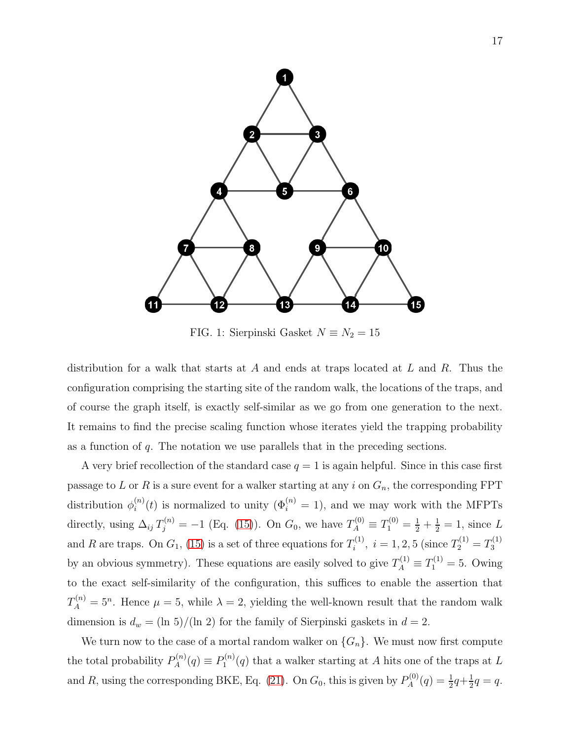

<span id="page-16-0"></span>FIG. 1: Sierpinski Gasket $N\equiv N_2=15$ 

distribution for a walk that starts at A and ends at traps located at  $L$  and  $R$ . Thus the configuration comprising the starting site of the random walk, the locations of the traps, and of course the graph itself, is exactly self-similar as we go from one generation to the next. It remains to find the precise scaling function whose iterates yield the trapping probability as a function of  $q$ . The notation we use parallels that in the preceding sections.

A very brief recollection of the standard case  $q = 1$  is again helpful. Since in this case first passage to L or R is a sure event for a walker starting at any i on  $G_n$ , the corresponding FPT distribution  $\phi_i^{(n)}$  $\mathbf{u}_i^{(n)}(t)$  is normalized to unity  $(\Phi_i^{(n)} = 1)$ , and we may work with the MFPTs directly, using  $\Delta_{ij} T_j^{(n)} = -1$  (Eq. [\(15\)](#page-6-2)). On  $G_0$ , we have  $T_A^{(0)} \equiv T_1^{(0)} = \frac{1}{2} + \frac{1}{2} = 1$ , since L and R are traps. On  $G_1$ , [\(15\)](#page-6-2) is a set of three equations for  $T_i^{(1)}$  $i^{(1)}$ ,  $i = 1, 2, 5$  (since  $T_2^{(1)} = T_3^{(1)}$ 3 by an obvious symmetry). These equations are easily solved to give  $T_A^{(1)} \equiv T_1^{(1)} = 5$ . Owing to the exact self-similarity of the configuration, this suffices to enable the assertion that  $T_A^{(n)} = 5^n$ . Hence  $\mu = 5$ , while  $\lambda = 2$ , yielding the well-known result that the random walk dimension is  $d_w = (\ln 5)/(\ln 2)$  for the family of Sierpinski gaskets in  $d = 2$ .

We turn now to the case of a mortal random walker on  $\{G_n\}$ . We must now first compute the total probability  $P_A^{(n)}$  $P_A^{(n)}(q) \equiv P_1^{(n)}$  $1^{(n)}(q)$  that a walker starting at A hits one of the traps at L and R, using the corresponding BKE, Eq. [\(21\)](#page-8-2). On  $G_0$ , this is given by  $P_A^{(0)}$  $P_A^{(0)}(q) = \frac{1}{2}q + \frac{1}{2}$  $rac{1}{2}q = q.$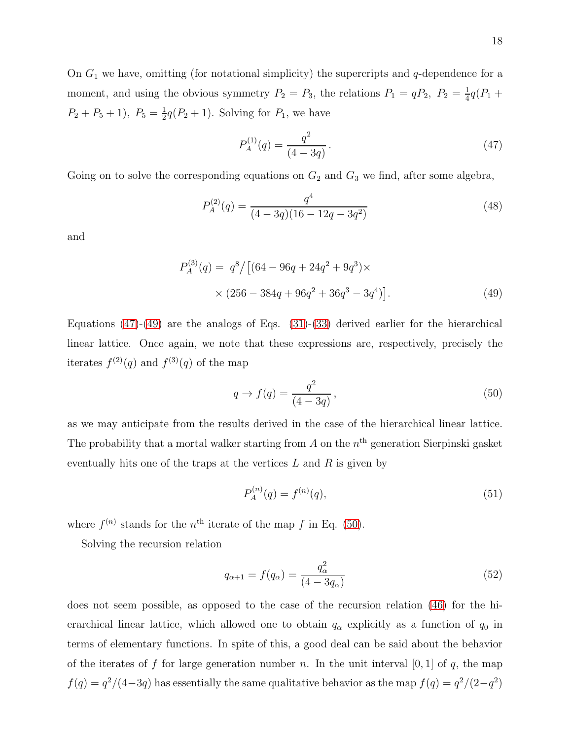On  $G_1$  we have, omitting (for notational simplicity) the supercripts and  $q$ -dependence for a moment, and using the obvious symmetry  $P_2 = P_3$ , the relations  $P_1 = qP_2$ ,  $P_2 = \frac{1}{4}$  $\frac{1}{4}q(P_1 +$  $P_2 + P_5 + 1$ ,  $P_5 = \frac{1}{2}$  $\frac{1}{2}q(P_2+1)$ . Solving for  $P_1$ , we have

<span id="page-17-0"></span>
$$
P_A^{(1)}(q) = \frac{q^2}{(4 - 3q)}.
$$
\n(47)

Going on to solve the corresponding equations on  $G_2$  and  $G_3$  we find, after some algebra,

$$
P_A^{(2)}(q) = \frac{q^4}{(4 - 3q)(16 - 12q - 3q^2)}
$$
\n(48)

and

$$
P_A^{(3)}(q) = q^8 / [(64 - 96q + 24q^2 + 9q^3) \times
$$
  
 
$$
\times (256 - 384q + 96q^2 + 36q^3 - 3q^4)].
$$
 (49)

Equations  $(47)-(49)$  $(47)-(49)$  are the analogs of Eqs.  $(31)-(33)$  $(31)-(33)$  derived earlier for the hierarchical linear lattice. Once again, we note that these expressions are, respectively, precisely the iterates  $f^{(2)}(q)$  and  $f^{(3)}(q)$  of the map

<span id="page-17-2"></span><span id="page-17-1"></span>
$$
q \to f(q) = \frac{q^2}{(4 - 3q)},\tag{50}
$$

as we may anticipate from the results derived in the case of the hierarchical linear lattice. The probability that a mortal walker starting from  $A$  on the  $n<sup>th</sup>$  generation Sierpinski gasket eventually hits one of the traps at the vertices  $L$  and  $R$  is given by

$$
P_A^{(n)}(q) = f^{(n)}(q),\tag{51}
$$

where  $f^{(n)}$  stands for the n<sup>th</sup> iterate of the map f in Eq. [\(50\)](#page-17-2).

Solving the recursion relation

$$
q_{\alpha+1} = f(q_{\alpha}) = \frac{q_{\alpha}^2}{(4 - 3q_{\alpha})}
$$
\n(52)

does not seem possible, as opposed to the case of the recursion relation [\(46\)](#page-15-0) for the hierarchical linear lattice, which allowed one to obtain  $q_{\alpha}$  explicitly as a function of  $q_0$  in terms of elementary functions. In spite of this, a good deal can be said about the behavior of the iterates of f for large generation number n. In the unit interval  $[0, 1]$  of q, the map  $f(q) = \frac{q^2}{4-3q}$  has essentially the same qualitative behavior as the map  $f(q) = \frac{q^2}{2-q^2}$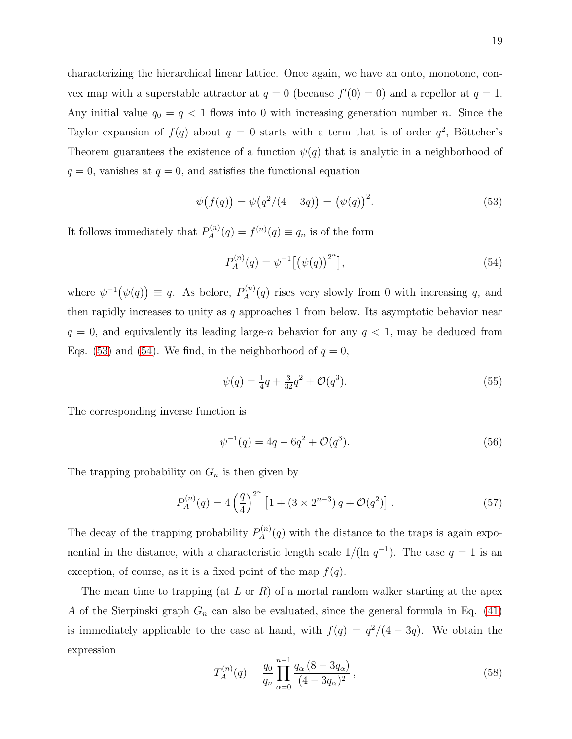characterizing the hierarchical linear lattice. Once again, we have an onto, monotone, convex map with a superstable attractor at  $q = 0$  (because  $f'(0) = 0$ ) and a repellor at  $q = 1$ . Any initial value  $q_0 = q < 1$  flows into 0 with increasing generation number *n*. Since the Taylor expansion of  $f(q)$  about  $q = 0$  starts with a term that is of order  $q^2$ , Böttcher's Theorem guarantees the existence of a function  $\psi(q)$  that is analytic in a neighborhood of  $q = 0$ , vanishes at  $q = 0$ , and satisfies the functional equation

<span id="page-18-0"></span>
$$
\psi(f(q)) = \psi(q^2/(4-3q)) = (\psi(q))^2.
$$
\n(53)

It follows immediately that  $P_A^{(n)}$  $A^{(n)}(q) = f^{(n)}(q) \equiv q_n$  is of the form

<span id="page-18-1"></span>
$$
P_A^{(n)}(q) = \psi^{-1} \left[ \left( \psi(q) \right)^{2^n} \right],\tag{54}
$$

where  $\psi^{-1}(\psi(q)) \equiv q$ . As before,  $P_A^{(n)}$  $A^{(n)}(q)$  rises very slowly from 0 with increasing q, and then rapidly increases to unity as q approaches 1 from below. Its asymptotic behavior near  $q = 0$ , and equivalently its leading large-n behavior for any  $q < 1$ , may be deduced from Eqs. [\(53\)](#page-18-0) and [\(54\)](#page-18-1). We find, in the neighborhood of  $q = 0$ ,

$$
\psi(q) = \frac{1}{4}q + \frac{3}{32}q^2 + \mathcal{O}(q^3). \tag{55}
$$

The corresponding inverse function is

$$
\psi^{-1}(q) = 4q - 6q^2 + \mathcal{O}(q^3). \tag{56}
$$

The trapping probability on  $G_n$  is then given by

<span id="page-18-2"></span>
$$
P_A^{(n)}(q) = 4\left(\frac{q}{4}\right)^{2^n} \left[1 + (3 \times 2^{n-3}) q + \mathcal{O}(q^2)\right].\tag{57}
$$

The decay of the trapping probability  $P_A^{(n)}$  $A^{(n)}(q)$  with the distance to the traps is again exponential in the distance, with a characteristic length scale  $1/(\ln q^{-1})$ . The case  $q = 1$  is an exception, of course, as it is a fixed point of the map  $f(q)$ .

The mean time to trapping (at L or R) of a mortal random walker starting at the apex A of the Sierpinski graph  $G_n$  can also be evaluated, since the general formula in Eq. [\(41\)](#page-13-1) is immediately applicable to the case at hand, with  $f(q) = \frac{q^2}{4 - 3q}$ . We obtain the expression

$$
T_A^{(n)}(q) = \frac{q_0}{q_n} \prod_{\alpha=0}^{n-1} \frac{q_\alpha (8 - 3q_\alpha)}{(4 - 3q_\alpha)^2},\tag{58}
$$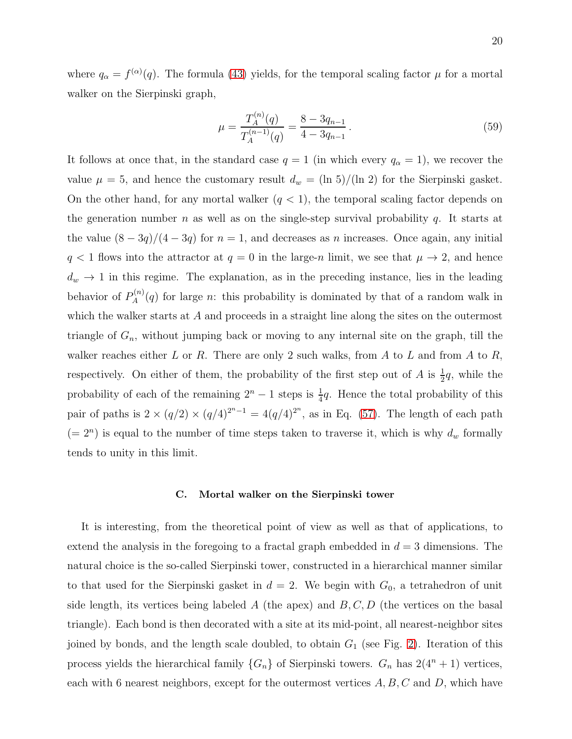where  $q_{\alpha} = f^{(\alpha)}(q)$ . The formula [\(43\)](#page-14-0) yields, for the temporal scaling factor  $\mu$  for a mortal walker on the Sierpinski graph,

$$
\mu = \frac{T_A^{(n)}(q)}{T_A^{(n-1)}(q)} = \frac{8 - 3q_{n-1}}{4 - 3q_{n-1}}.
$$
\n(59)

It follows at once that, in the standard case  $q = 1$  (in which every  $q_{\alpha} = 1$ ), we recover the value  $\mu = 5$ , and hence the customary result  $d_w = (\ln 5)/(\ln 2)$  for the Sierpinski gasket. On the other hand, for any mortal walker  $(q < 1)$ , the temporal scaling factor depends on the generation number n as well as on the single-step survival probability q. It starts at the value  $(8-3q)/(4-3q)$  for  $n=1$ , and decreases as n increases. Once again, any initial  $q < 1$  flows into the attractor at  $q = 0$  in the large-n limit, we see that  $\mu \to 2$ , and hence  $d_w \rightarrow 1$  in this regime. The explanation, as in the preceding instance, lies in the leading behavior of  $P_A^{(n)}$  $A^{(n)}_A(q)$  for large *n*: this probability is dominated by that of a random walk in which the walker starts at A and proceeds in a straight line along the sites on the outermost triangle of  $G_n$ , without jumping back or moving to any internal site on the graph, till the walker reaches either L or R. There are only 2 such walks, from A to L and from A to R, respectively. On either of them, the probability of the first step out of A is  $\frac{1}{2}q$ , while the probability of each of the remaining  $2^{n} - 1$  steps is  $\frac{1}{4}q$ . Hence the total probability of this pair of paths is  $2 \times (q/2) \times (q/4)^{2^{n}-1} = 4(q/4)^{2^{n}}$ , as in Eq. [\(57\)](#page-18-2). The length of each path  $(= 2<sup>n</sup>)$  is equal to the number of time steps taken to traverse it, which is why  $d<sub>w</sub>$  formally tends to unity in this limit.

#### C. Mortal walker on the Sierpinski tower

It is interesting, from the theoretical point of view as well as that of applications, to extend the analysis in the foregoing to a fractal graph embedded in  $d = 3$  dimensions. The natural choice is the so-called Sierpinski tower, constructed in a hierarchical manner similar to that used for the Sierpinski gasket in  $d = 2$ . We begin with  $G_0$ , a tetrahedron of unit side length, its vertices being labeled A (the apex) and  $B, C, D$  (the vertices on the basal triangle). Each bond is then decorated with a site at its mid-point, all nearest-neighbor sites joined by bonds, and the length scale doubled, to obtain  $G_1$  (see Fig. [2\)](#page-20-0). Iteration of this process yields the hierarchical family  $\{G_n\}$  of Sierpinski towers.  $G_n$  has  $2(4^n + 1)$  vertices, each with 6 nearest neighbors, except for the outermost vertices  $A, B, C$  and  $D$ , which have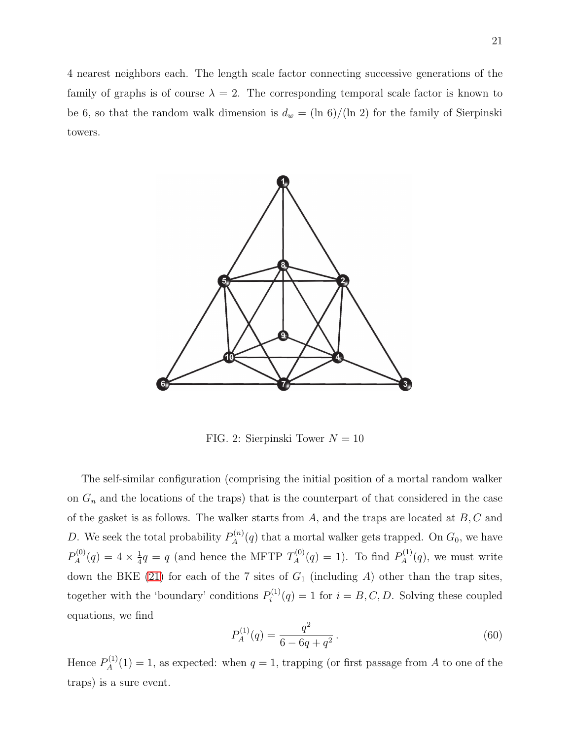4 nearest neighbors each. The length scale factor connecting successive generations of the family of graphs is of course  $\lambda = 2$ . The corresponding temporal scale factor is known to be 6, so that the random walk dimension is  $d_w = (\ln 6)/(\ln 2)$  for the family of Sierpinski towers.



<span id="page-20-0"></span>FIG. 2: Sierpinski Tower  $N = 10$ 

The self-similar configuration (comprising the initial position of a mortal random walker on  $G_n$  and the locations of the traps) that is the counterpart of that considered in the case of the gasket is as follows. The walker starts from  $A$ , and the traps are located at  $B, C$  and D. We seek the total probability  $P_A^{(n)}$  $A^{(n)}_A(q)$  that a mortal walker gets trapped. On  $G_0$ , we have  $P_A^{(0)}$  $A^{(0)}(q) = 4 \times \frac{1}{4}$  $\frac{1}{4}q = q$  (and hence the MFTP  $T_A^{(0)}$  $P_A^{(0)}(q) = 1$ ). To find  $P_A^{(1)}$  $A^{(1)}(q)$ , we must write down the BKE [\(21\)](#page-8-2) for each of the 7 sites of  $G_1$  (including A) other than the trap sites, together with the 'boundary' conditions  $P_i^{(1)}$  $i^{(1)}(q) = 1$  for  $i = B, C, D$ . Solving these coupled equations, we find

$$
P_A^{(1)}(q) = \frac{q^2}{6 - 6q + q^2}.
$$
\n(60)

Hence  $P_A^{(1)}$  $A^{(1)}_A(1) = 1$ , as expected: when  $q = 1$ , trapping (or first passage from A to one of the traps) is a sure event.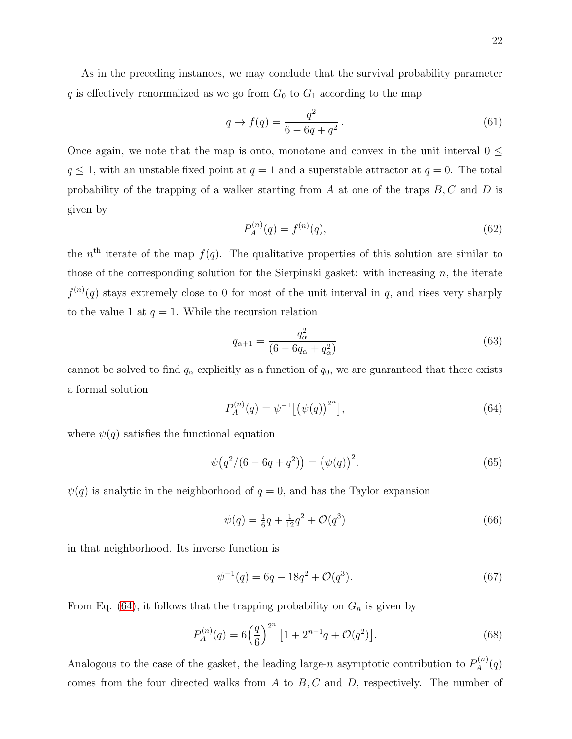As in the preceding instances, we may conclude that the survival probability parameter q is effectively renormalized as we go from  $G_0$  to  $G_1$  according to the map

$$
q \to f(q) = \frac{q^2}{6 - 6q + q^2}.
$$
\n(61)

Once again, we note that the map is onto, monotone and convex in the unit interval  $0 \leq$  $q \leq 1$ , with an unstable fixed point at  $q = 1$  and a superstable attractor at  $q = 0$ . The total probability of the trapping of a walker starting from A at one of the traps  $B, C$  and D is given by

$$
P_A^{(n)}(q) = f^{(n)}(q),\tag{62}
$$

the  $n<sup>th</sup>$  iterate of the map  $f(q)$ . The qualitative properties of this solution are similar to those of the corresponding solution for the Sierpinski gasket: with increasing  $n$ , the iterate  $f^{(n)}(q)$  stays extremely close to 0 for most of the unit interval in q, and rises very sharply to the value 1 at  $q = 1$ . While the recursion relation

$$
q_{\alpha+1} = \frac{q_{\alpha}^2}{(6 - 6q_{\alpha} + q_{\alpha}^2)}
$$
(63)

cannot be solved to find  $q_{\alpha}$  explicitly as a function of  $q_0$ , we are guaranteed that there exists a formal solution

<span id="page-21-0"></span>
$$
P_A^{(n)}(q) = \psi^{-1} \left[ \left( \psi(q) \right)^{2^n} \right],\tag{64}
$$

where  $\psi(q)$  satisfies the functional equation

$$
\psi(q^2/(6-6q+q^2)) = (\psi(q))^2.
$$
\n(65)

 $\psi(q)$  is analytic in the neighborhood of  $q = 0$ , and has the Taylor expansion

$$
\psi(q) = \frac{1}{6}q + \frac{1}{12}q^2 + \mathcal{O}(q^3)
$$
\n(66)

in that neighborhood. Its inverse function is

$$
\psi^{-1}(q) = 6q - 18q^2 + \mathcal{O}(q^3). \tag{67}
$$

From Eq. [\(64\)](#page-21-0), it follows that the trapping probability on  $G_n$  is given by

$$
P_A^{(n)}(q) = 6\left(\frac{q}{6}\right)^{2^n} \left[1 + 2^{n-1}q + \mathcal{O}(q^2)\right].\tag{68}
$$

Analogous to the case of the gasket, the leading large-n asymptotic contribution to  $P_A^{(n)}$  $\lambda_A^{(n)}(q)$ comes from the four directed walks from  $A$  to  $B, C$  and  $D$ , respectively. The number of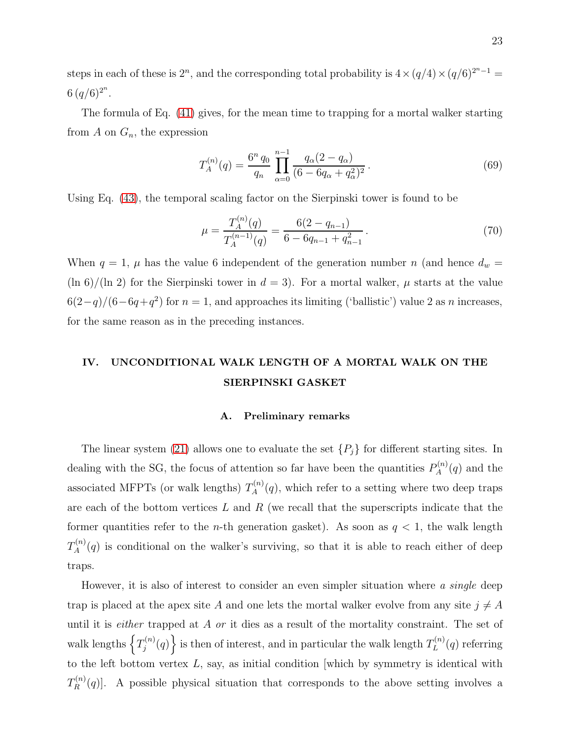steps in each of these is  $2^n$ , and the corresponding total probability is  $4 \times (q/4) \times (q/6)^{2^n-1}$  $6 (q/6)^{2^n}.$ 

The formula of Eq. [\(41\)](#page-13-1) gives, for the mean time to trapping for a mortal walker starting from  $A$  on  $G_n$ , the expression

$$
T_A^{(n)}(q) = \frac{6^n q_0}{q_n} \prod_{\alpha=0}^{n-1} \frac{q_\alpha (2 - q_\alpha)}{(6 - 6q_\alpha + q_\alpha^2)^2}.
$$
 (69)

Using Eq. [\(43\)](#page-14-0), the temporal scaling factor on the Sierpinski tower is found to be

$$
\mu = \frac{T_A^{(n)}(q)}{T_A^{(n-1)}(q)} = \frac{6(2 - q_{n-1})}{6 - 6q_{n-1} + q_{n-1}^2}.
$$
\n(70)

When  $q = 1$ ,  $\mu$  has the value 6 independent of the generation number n (and hence  $d_w =$  $(\ln 6)/(\ln 2)$  for the Sierpinski tower in  $d = 3$ . For a mortal walker,  $\mu$  starts at the value  $6(2-q)/(6-6q+q^2)$  for  $n=1$ , and approaches its limiting ('ballistic') value 2 as n increases, for the same reason as in the preceding instances.

# IV. UNCONDITIONAL WALK LENGTH OF A MORTAL WALK ON THE SIERPINSKI GASKET

# A. Preliminary remarks

The linear system [\(21\)](#page-8-2) allows one to evaluate the set  $\{P_j\}$  for different starting sites. In dealing with the SG, the focus of attention so far have been the quantities  $P_A^{(n)}$  $A^{(n)}(q)$  and the associated MFPTs (or walk lengths)  $T_A^{(n)}$  $A^{(n)}(q)$ , which refer to a setting where two deep traps are each of the bottom vertices  $L$  and  $R$  (we recall that the superscripts indicate that the former quantities refer to the *n*-th generation gasket). As soon as  $q < 1$ , the walk length  $T_A^{(n)}$  $A^{(n)}(q)$  is conditional on the walker's surviving, so that it is able to reach either of deep traps.

However, it is also of interest to consider an even simpler situation where a single deep trap is placed at the apex site A and one lets the mortal walker evolve from any site  $j \neq A$ until it is *either* trapped at  $A$  or it dies as a result of the mortality constraint. The set of walk lengths  $\left\{T_i^{(n)}\right\}$  $\left\{ \sum_{j}^{(n)}(q) \right\}$  is then of interest, and in particular the walk length  $T_L^{(n)}$  $L^{(n)}(q)$  referring to the left bottom vertex  $L$ , say, as initial condition [which by symmetry is identical with  $T^{(n)}_R$  $R^{(n)}(q)$ . A possible physical situation that corresponds to the above setting involves a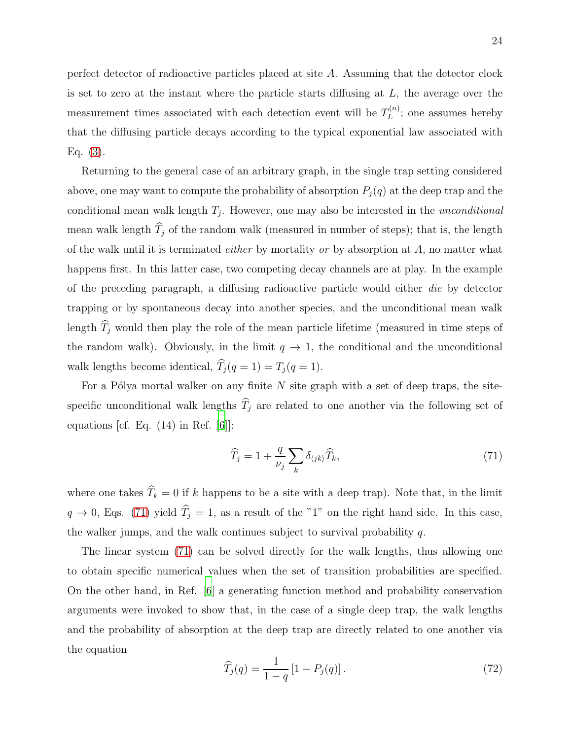perfect detector of radioactive particles placed at site A. Assuming that the detector clock is set to zero at the instant where the particle starts diffusing at  $L$ , the average over the measurement times associated with each detection event will be  $T_L^{(n)}$  $L^{(n)}$ ; one assumes hereby that the diffusing particle decays according to the typical exponential law associated with Eq. [\(3\)](#page-4-1).

Returning to the general case of an arbitrary graph, in the single trap setting considered above, one may want to compute the probability of absorption  $P_i(q)$  at the deep trap and the conditional mean walk length  $T_j$ . However, one may also be interested in the *unconditional* mean walk length  $\widehat{T}_j$  of the random walk (measured in number of steps); that is, the length of the walk until it is terminated *either* by mortality or by absorption at  $A$ , no matter what happens first. In this latter case, two competing decay channels are at play. In the example of the preceding paragraph, a diffusing radioactive particle would either die by detector trapping or by spontaneous decay into another species, and the unconditional mean walk length  $\widehat{T}_j$  would then play the role of the mean particle lifetime (measured in time steps of the random walk). Obviously, in the limit  $q \to 1$ , the conditional and the unconditional walk lengths become identical,  $\widehat{T}_j (q = 1) = T_j (q = 1)$ .

For a Pólya mortal walker on any finite  $N$  site graph with a set of deep traps, the sitespecific unconditional walk lengths  $\widehat{T}_j$  are related to one another via the following set of equations [cf. Eq.  $(14)$  in Ref. [\[6\]](#page-37-7)]:

<span id="page-23-0"></span>
$$
\widehat{T}_j = 1 + \frac{q}{\nu_j} \sum_k \delta_{\langle jk \rangle} \widehat{T}_k,\tag{71}
$$

where one takes  $\widehat{T}_k = 0$  if k happens to be a site with a deep trap). Note that, in the limit  $q \to 0$ , Eqs. [\(71\)](#page-23-0) yield  $\widehat{T}_j = 1$ , as a result of the "1" on the right hand side. In this case, the walker jumps, and the walk continues subject to survival probability  $q$ .

The linear system [\(71\)](#page-23-0) can be solved directly for the walk lengths, thus allowing one to obtain specific numerical values when the set of transition probabilities are specified. On the other hand, in Ref. [\[6\]](#page-37-7) a generating function method and probability conservation arguments were invoked to show that, in the case of a single deep trap, the walk lengths and the probability of absorption at the deep trap are directly related to one another via the equation

<span id="page-23-1"></span>
$$
\widehat{T}_j(q) = \frac{1}{1-q} \left[ 1 - P_j(q) \right]. \tag{72}
$$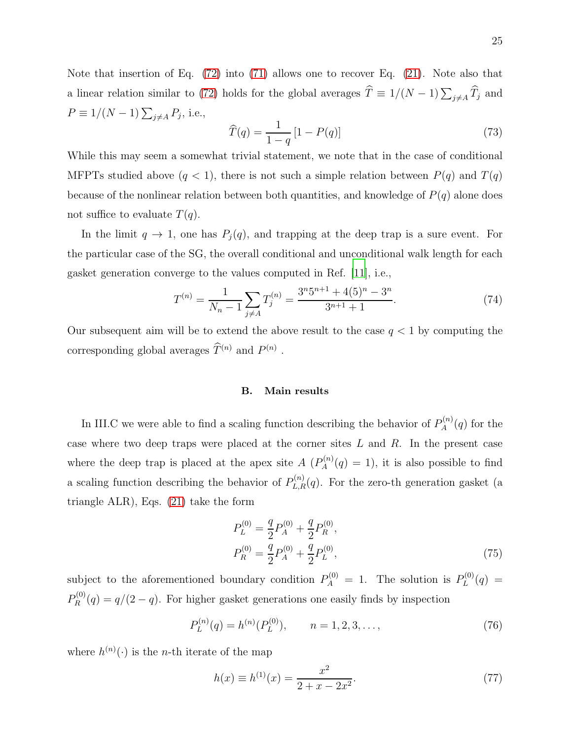Note that insertion of Eq. [\(72\)](#page-23-1) into [\(71\)](#page-23-0) allows one to recover Eq. [\(21\)](#page-8-2). Note also that a linear relation similar to [\(72\)](#page-23-1) holds for the global averages  $\widehat{T} \equiv 1/(N-1)\sum_{j\neq A}\widehat{T}_j$  and  $P \equiv 1/(N-1) \sum_{j \neq A} P_j$ , i.e.,

<span id="page-24-0"></span>
$$
\widehat{T}(q) = \frac{1}{1-q} \left[ 1 - P(q) \right] \tag{73}
$$

While this may seem a somewhat trivial statement, we note that in the case of conditional MFPTs studied above  $(q < 1)$ , there is not such a simple relation between  $P(q)$  and  $T(q)$ because of the nonlinear relation between both quantities, and knowledge of  $P(q)$  alone does not suffice to evaluate  $T(q)$ .

In the limit  $q \to 1$ , one has  $P_j(q)$ , and trapping at the deep trap is a sure event. For the particular case of the SG, the overall conditional and unconditional walk length for each gasket generation converge to the values computed in Ref. [\[11\]](#page-37-4), i.e.,

$$
T^{(n)} = \frac{1}{N_n - 1} \sum_{j \neq A} T_j^{(n)} = \frac{3^n 5^{n+1} + 4(5)^n - 3^n}{3^{n+1} + 1}.
$$
 (74)

Our subsequent aim will be to extend the above result to the case  $q < 1$  by computing the corresponding global averages  $\hat{T}^{(n)}$  and  $P^{(n)}$ .

# B. Main results

In III.C we were able to find a scaling function describing the behavior of  $P_A^{(n)}$  $A^{(n)}(q)$  for the case where two deep traps were placed at the corner sites  $L$  and  $R$ . In the present case where the deep trap is placed at the apex site  $A(P_A^{(n)})$  $A^{(n)}_A(q) = 1$ , it is also possible to find a scaling function describing the behavior of  $P_{L,R}^{(n)}(q)$ . For the zero-th generation gasket (a triangle ALR), Eqs. [\(21\)](#page-8-2) take the form

$$
P_L^{(0)} = \frac{q}{2} P_A^{(0)} + \frac{q}{2} P_R^{(0)},
$$
  
\n
$$
P_R^{(0)} = \frac{q}{2} P_A^{(0)} + \frac{q}{2} P_L^{(0)},
$$
\n(75)

subject to the aforementioned boundary condition  $P_A^{(0)} = 1$ . The solution is  $P_L^{(0)}$  $L^{(0)}(q) =$  $P_R^{(0)}$  $R^{(0)}(q) = q/(2-q)$ . For higher gasket generations one easily finds by inspection

$$
P_L^{(n)}(q) = h^{(n)}(P_L^{(0)}), \qquad n = 1, 2, 3, \dots,
$$
\n(76)

where  $h^{(n)}(\cdot)$  is the *n*-th iterate of the map

$$
h(x) \equiv h^{(1)}(x) = \frac{x^2}{2 + x - 2x^2}.
$$
\n(77)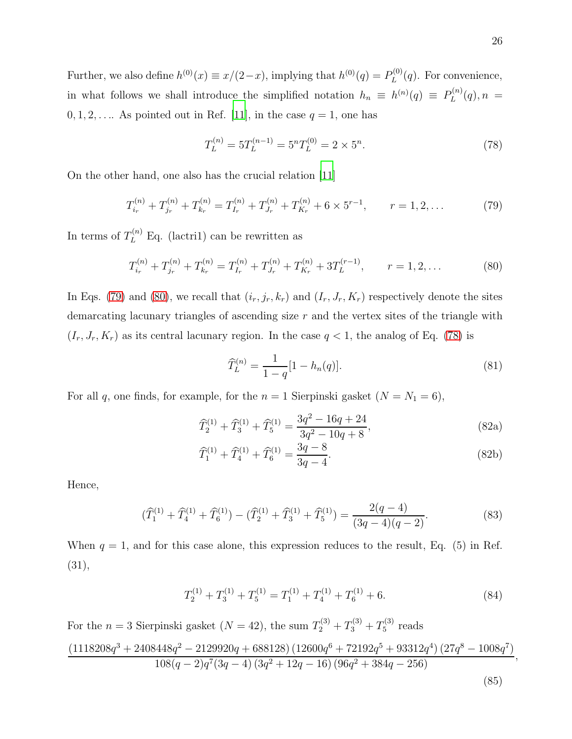Further, we also define  $h^{(0)}(x) \equiv x/(2-x)$ , implying that  $h^{(0)}(q) = P_L^{(0)}$  $L^{(0)}(q)$ . For convenience, in what follows we shall introduce the simplified notation  $h_n \equiv h^{(n)}(q) \equiv P_L^{(n)}$  $L^{(n)}(q), n =$  $0, 1, 2, \ldots$  As pointed out in Ref. [\[11](#page-37-4)], in the case  $q = 1$ , one has

<span id="page-25-2"></span>
$$
T_L^{(n)} = 5T_L^{(n-1)} = 5^n T_L^{(0)} = 2 \times 5^n.
$$
 (78)

On the other hand, one also has the crucial relation [\[11](#page-37-4)]

<span id="page-25-0"></span>
$$
T_{i_r}^{(n)} + T_{j_r}^{(n)} + T_{k_r}^{(n)} = T_{I_r}^{(n)} + T_{J_r}^{(n)} + T_{K_r}^{(n)} + 6 \times 5^{r-1}, \qquad r = 1, 2, ... \tag{79}
$$

In terms of  $T_L^{(n)}$  Eq. (lactri1) can be rewritten as

<span id="page-25-1"></span>
$$
T_{i_r}^{(n)} + T_{j_r}^{(n)} + T_{k_r}^{(n)} = T_{I_r}^{(n)} + T_{J_r}^{(n)} + T_{K_r}^{(n)} + 3T_L^{(r-1)}, \qquad r = 1, 2, \dots
$$
 (80)

In Eqs. [\(79\)](#page-25-0) and [\(80\)](#page-25-1), we recall that  $(i_r, j_r, k_r)$  and  $(I_r, J_r, K_r)$  respectively denote the sites demarcating lacunary triangles of ascending size r and the vertex sites of the triangle with  $(I_r, J_r, K_r)$  as its central lacunary region. In the case  $q < 1$ , the analog of Eq. [\(78\)](#page-25-2) is

$$
\widehat{T}_{L}^{(n)} = \frac{1}{1-q} [1 - h_n(q)]. \tag{81}
$$

For all q, one finds, for example, for the  $n = 1$  Sierpinski gasket  $(N = N_1 = 6)$ ,

$$
\widehat{T}_2^{(1)} + \widehat{T}_3^{(1)} + \widehat{T}_5^{(1)} = \frac{3q^2 - 16q + 24}{3q^2 - 10q + 8},
$$
\n(82a)

$$
\widehat{T}_1^{(1)} + \widehat{T}_4^{(1)} + \widehat{T}_6^{(1)} = \frac{3q - 8}{3q - 4}.
$$
\n(82b)

Hence,

$$
(\widehat{T}_1^{(1)} + \widehat{T}_4^{(1)} + \widehat{T}_6^{(1)}) - (\widehat{T}_2^{(1)} + \widehat{T}_3^{(1)} + \widehat{T}_5^{(1)}) = \frac{2(q-4)}{(3q-4)(q-2)}.
$$
\n(83)

When  $q = 1$ , and for this case alone, this expression reduces to the result, Eq. (5) in Ref. (31),

$$
T_2^{(1)} + T_3^{(1)} + T_5^{(1)} = T_1^{(1)} + T_4^{(1)} + T_6^{(1)} + 6.
$$
 (84)

For the  $n = 3$  Sierpinski gasket  $(N = 42)$ , the sum  $T_2^{(3)} + T_3^{(3)} + T_5^{(3)}$  $5^{(5)}$  reads

$$
\frac{\left(1118208q^3+2408448q^2-2129920q+688128\right)\left(12600q^6+72192q^5+93312q^4\right)\left(27q^8-1008q^7\right)}{108(q-2)q^7(3q-4)\left(3q^2+12q-16\right)\left(96q^2+384q-256\right)},
$$

<span id="page-25-3"></span>
$$
(85)
$$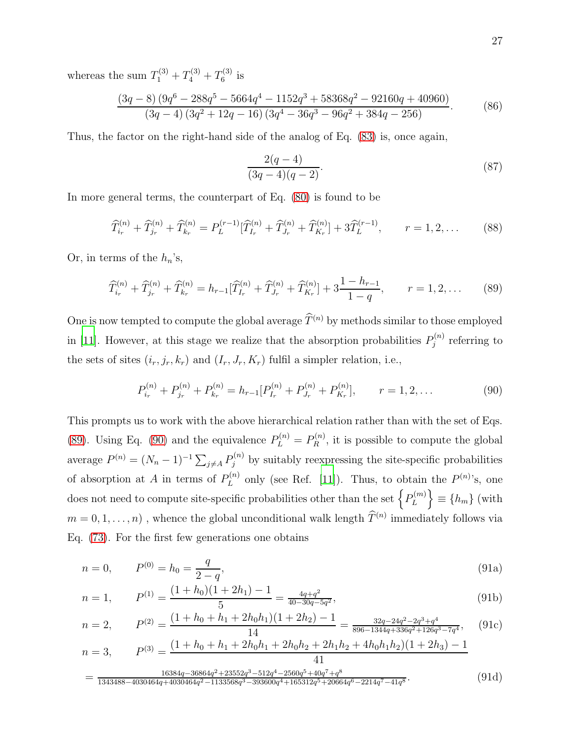whereas the sum  $T_1^{(3)} + T_4^{(3)} + T_6^{(3)}$  $6^{(5)}$  is

$$
\frac{(3q-8)\left(9q^{6}-288q^{5}-5664q^{4}-1152q^{3}+58368q^{2}-92160q+40960\right)}{(3q-4)\left(3q^{2}+12q-16\right)\left(3q^{4}-36q^{3}-96q^{2}+384q-256\right)}.
$$
 (86)

Thus, the factor on the right-hand side of the analog of Eq. [\(83\)](#page-25-3) is, once again,

$$
\frac{2(q-4)}{(3q-4)(q-2)}.\t(87)
$$

In more general terms, the counterpart of Eq. [\(80\)](#page-25-1) is found to be

$$
\widehat{T}_{i_r}^{(n)} + \widehat{T}_{j_r}^{(n)} + \widehat{T}_{k_r}^{(n)} = P_L^{(r-1)}[\widehat{T}_{I_r}^{(n)} + \widehat{T}_{J_r}^{(n)} + \widehat{T}_{K_r}^{(n)}] + 3\widehat{T}_L^{(r-1)}, \qquad r = 1, 2, \dots \tag{88}
$$

Or, in terms of the  $h_n$ 's,

<span id="page-26-0"></span>
$$
\widehat{T}_{i_r}^{(n)} + \widehat{T}_{j_r}^{(n)} + \widehat{T}_{k_r}^{(n)} = h_{r-1}[\widehat{T}_{I_r}^{(n)} + \widehat{T}_{J_r}^{(n)} + \widehat{T}_{K_r}^{(n)}] + 3\frac{1 - h_{r-1}}{1 - q}, \qquad r = 1, 2, \dots \tag{89}
$$

One is now tempted to compute the global average  $\widehat{T}^{(n)}$  by methods similar to those employed in [\[11\]](#page-37-4). However, at this stage we realize that the absorption probabilities  $P_i^{(n)}$  $j^{(n)}$  referring to the sets of sites  $(i_r, j_r, k_r)$  and  $(I_r, J_r, K_r)$  fulfil a simpler relation, i.e.,

<span id="page-26-1"></span>
$$
P_{i_r}^{(n)} + P_{j_r}^{(n)} + P_{k_r}^{(n)} = h_{r-1} [P_{I_r}^{(n)} + P_{J_r}^{(n)} + P_{K_r}^{(n)}], \qquad r = 1, 2, ... \qquad (90)
$$

This prompts us to work with the above hierarchical relation rather than with the set of Eqs. [\(89\)](#page-26-0). Using Eq. [\(90\)](#page-26-1) and the equivalence  $P_L^{(n)} = P_R^{(n)}$  $R_R^{(n)}$ , it is possible to compute the global average  $P^{(n)} = (N_n - 1)^{-1} \sum_{j \neq A} P_j^{(n)}$  by suitably reexpressing the site-specific probabilities of absorption at A in terms of  $P_L^{(n)}$  $L^{(n)}$  only (see Ref. [\[11\]](#page-37-4)). Thus, to obtain the  $P^{(n)}$ 's, one does not need to compute site-specific probabilities other than the set  $\{P_L^{(m)}\}$ L  $\big\} \equiv \{h_m\}$  (with  $m = 0, 1, ..., n)$ , whence the global unconditional walk length  $\hat{T}^{(n)}$  immediately follows via Eq. [\(73\)](#page-24-0). For the first few generations one obtains

$$
n = 0, \qquad P^{(0)} = h_0 = \frac{q}{2 - q}, \tag{91a}
$$

$$
n = 1, \qquad P^{(1)} = \frac{(1 + h_0)(1 + 2h_1) - 1}{5} = \frac{4q + q^2}{40 - 30q - 5q^2},\tag{91b}
$$

$$
n = 2, \qquad P^{(2)} = \frac{(1 + h_0 + h_1 + 2h_0h_1)(1 + 2h_2) - 1}{14} = \frac{32q - 24q^2 - 2q^3 + q^4}{896 - 1344q + 336q^2 + 126q^3 - 7q^4}, \qquad (91c)
$$

$$
n = 3, \qquad P^{(3)} = \frac{(1 + h_0 + h_1 + 2h_0h_1 + 2h_0h_2 + 2h_1h_2 + 4h_0h_1h_2)(1 + 2h_3) - 1}{41}
$$

$$
= \frac{16384q - 36864q^2 + 23552q^3 - 512q^4 - 2560q^5 + 40q^7 + q^8}{1343488 - 4030464q + 4030464q^2 - 1133568q^3 - 393600q^4 + 165312q^5 + 20664q^6 - 2214q^7 - 41q^8}.
$$
\n(91d)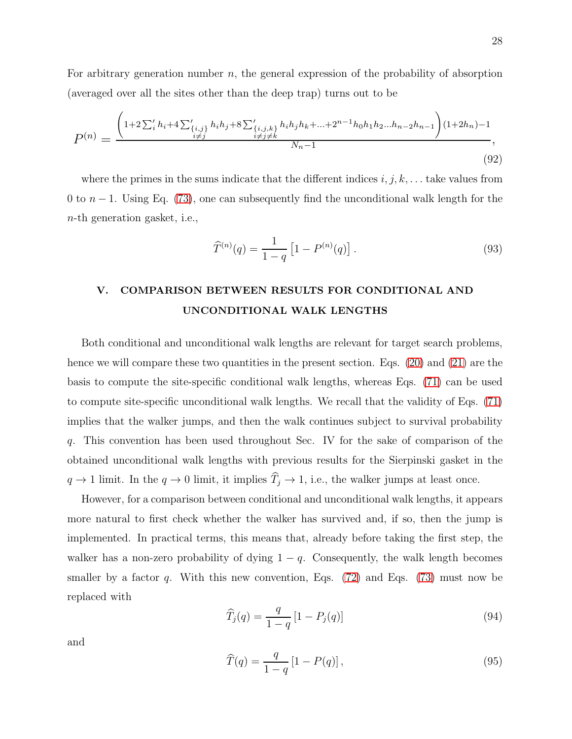For arbitrary generation number n, the general expression of the probability of absorption (averaged over all the sites other than the deep trap) turns out to be

$$
P^{(n)} = \frac{\left(1+2\sum_{i}^{'}h_{i}+4\sum_{\substack{\{i,j\}\{i,j\}}}\n_{i}h_{j}+8\sum_{\substack{\{i,j,k\}\{i,j\}\{k}}}\n_{i}h_{j}h_{k}+...+2^{n-1}h_{0}h_{1}h_{2}...h_{n-2}h_{n-1}\right)(1+2h_{n})-1}{N_{n}-1},
$$
\n(92)

where the primes in the sums indicate that the different indices  $i, j, k, \ldots$  take values from 0 to  $n-1$ . Using Eq. [\(73\)](#page-24-0), one can subsequently find the unconditional walk length for the n-th generation gasket, i.e.,

$$
\widehat{T}^{(n)}(q) = \frac{1}{1-q} \left[ 1 - P^{(n)}(q) \right]. \tag{93}
$$

# V. COMPARISON BETWEEN RESULTS FOR CONDITIONAL AND UNCONDITIONAL WALK LENGTHS

Both conditional and unconditional walk lengths are relevant for target search problems, hence we will compare these two quantities in the present section. Eqs. [\(20\)](#page-8-3) and [\(21\)](#page-8-2) are the basis to compute the site-specific conditional walk lengths, whereas Eqs. [\(71\)](#page-23-0) can be used to compute site-specific unconditional walk lengths. We recall that the validity of Eqs. [\(71\)](#page-23-0) implies that the walker jumps, and then the walk continues subject to survival probability q. This convention has been used throughout Sec. IV for the sake of comparison of the obtained unconditional walk lengths with previous results for the Sierpinski gasket in the  $q \to 1$  limit. In the  $q \to 0$  limit, it implies  $\widehat{T}_j \to 1$ , i.e., the walker jumps at least once.

However, for a comparison between conditional and unconditional walk lengths, it appears more natural to first check whether the walker has survived and, if so, then the jump is implemented. In practical terms, this means that, already before taking the first step, the walker has a non-zero probability of dying  $1 - q$ . Consequently, the walk length becomes smaller by a factor q. With this new convention, Eqs.  $(72)$  and Eqs.  $(73)$  must now be replaced with

<span id="page-27-0"></span>
$$
\widehat{T}_j(q) = \frac{q}{1-q} [1 - P_j(q)] \tag{94}
$$

and

$$
\widehat{T}(q) = \frac{q}{1-q} [1 - P(q)], \qquad (95)
$$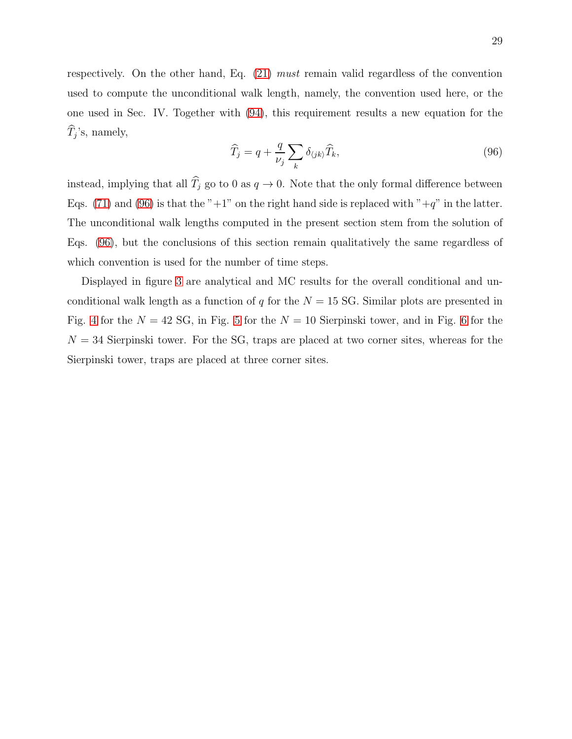respectively. On the other hand, Eq. [\(21\)](#page-8-2) must remain valid regardless of the convention used to compute the unconditional walk length, namely, the convention used here, or the one used in Sec. IV. Together with [\(94\)](#page-27-0), this requirement results a new equation for the  $T_j$ 's, namely,

<span id="page-28-0"></span>
$$
\widehat{T}_j = q + \frac{q}{\nu_j} \sum_k \delta_{\langle jk \rangle} \widehat{T}_k,\tag{96}
$$

instead, implying that all  $\widehat{T}_j$  go to 0 as  $q \to 0$ . Note that the only formal difference between Eqs. [\(71\)](#page-23-0) and [\(96\)](#page-28-0) is that the "+1" on the right hand side is replaced with "+q" in the latter. The unconditional walk lengths computed in the present section stem from the solution of Eqs. [\(96\)](#page-28-0), but the conclusions of this section remain qualitatively the same regardless of which convention is used for the number of time steps.

Displayed in figure [3](#page-29-0) are analytical and MC results for the overall conditional and unconditional walk length as a function of q for the  $N = 15$  SG. Similar plots are presented in Fig. [4](#page-30-0) for the  $N = 42$  SG, in Fig. [5](#page-31-0) for the  $N = 10$  Sierpinski tower, and in Fig. [6](#page-32-0) for the  $N = 34$  Sierpinski tower. For the SG, traps are placed at two corner sites, whereas for the Sierpinski tower, traps are placed at three corner sites.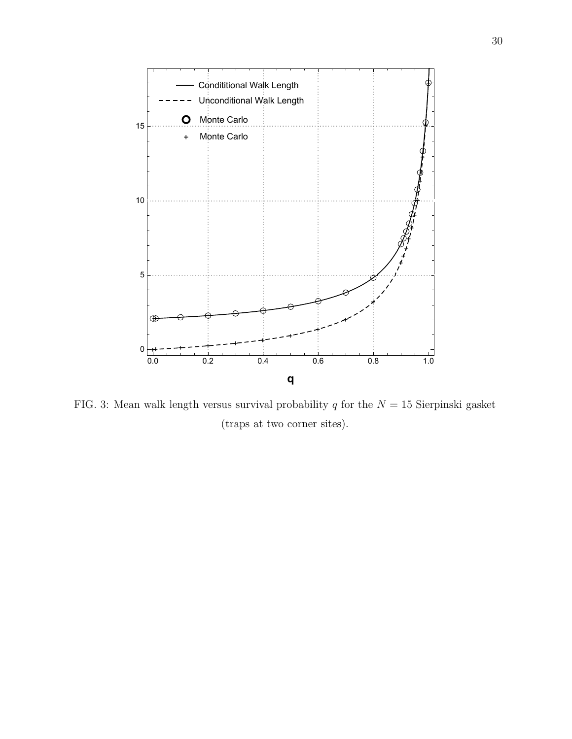

<span id="page-29-0"></span>FIG. 3: Mean walk length versus survival probability q for the  $N = 15$  Sierpinski gasket (traps at two corner sites).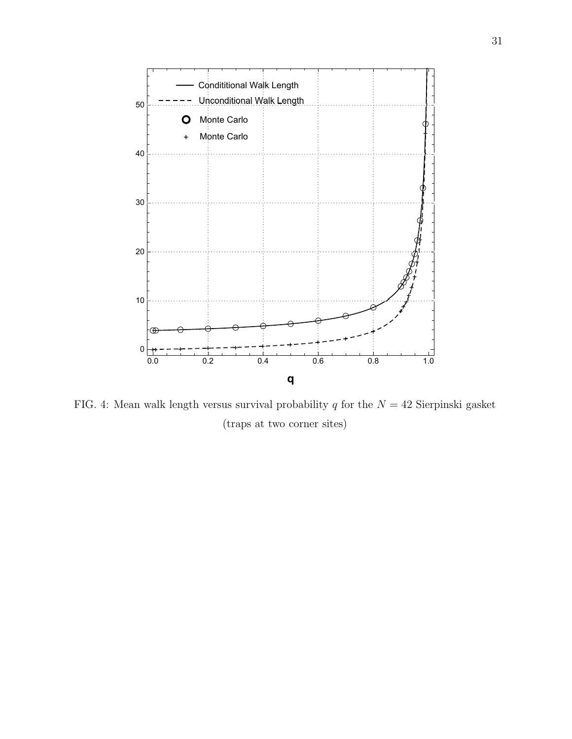

<span id="page-30-0"></span>FIG. 4: Mean walk length versus survival probability q for the  $N = 42$  Sierpinski gasket (traps at two corner sites)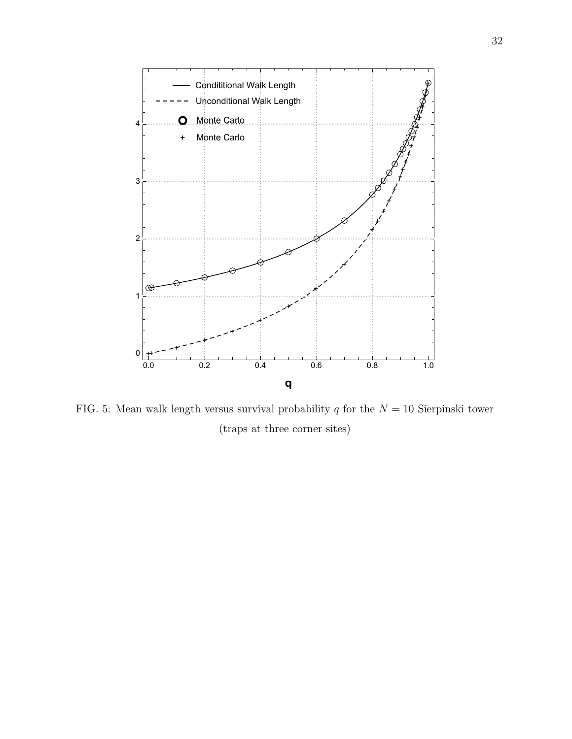

<span id="page-31-0"></span>FIG. 5: Mean walk length versus survival probability q for the  $N = 10$  Sierpinski tower (traps at three corner sites)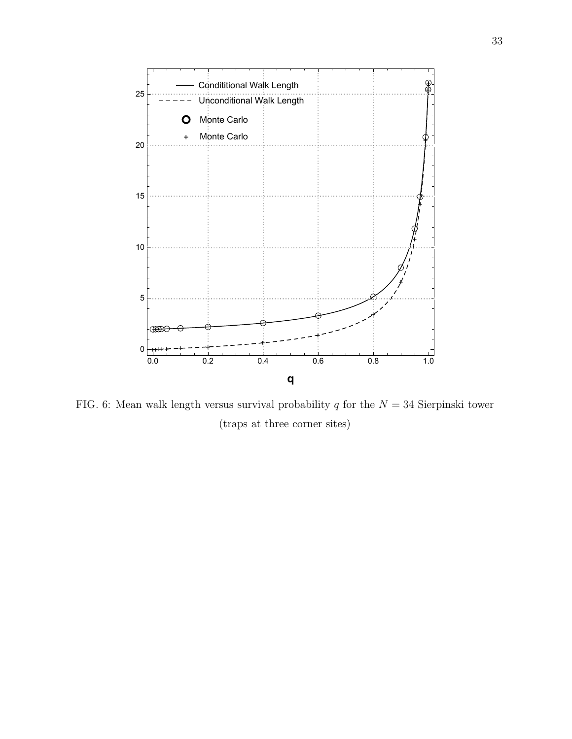

<span id="page-32-0"></span>FIG. 6: Mean walk length versus survival probability q for the  $N = 34$  Sierpinski tower (traps at three corner sites)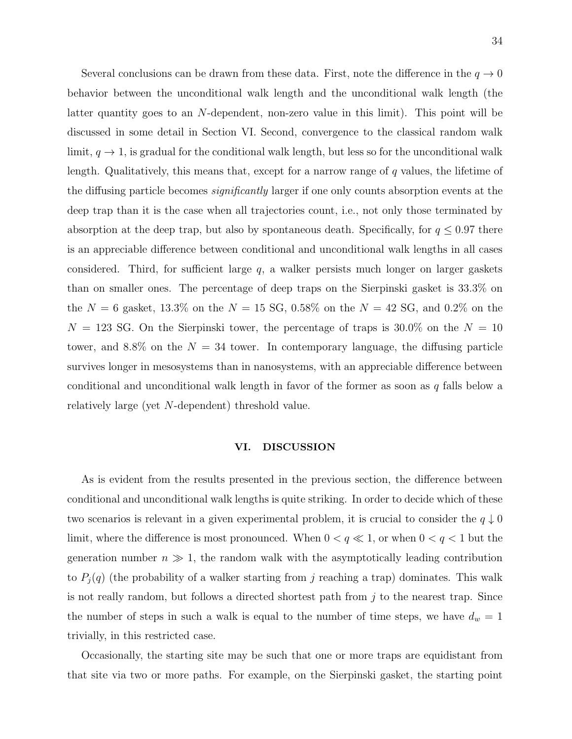Several conclusions can be drawn from these data. First, note the difference in the  $q \to 0$ behavior between the unconditional walk length and the unconditional walk length (the latter quantity goes to an N-dependent, non-zero value in this limit). This point will be discussed in some detail in Section VI. Second, convergence to the classical random walk limit,  $q \to 1$ , is gradual for the conditional walk length, but less so for the unconditional walk length. Qualitatively, this means that, except for a narrow range of q values, the lifetime of the diffusing particle becomes significantly larger if one only counts absorption events at the deep trap than it is the case when all trajectories count, i.e., not only those terminated by absorption at the deep trap, but also by spontaneous death. Specifically, for  $q \leq 0.97$  there is an appreciable difference between conditional and unconditional walk lengths in all cases considered. Third, for sufficient large  $q$ , a walker persists much longer on larger gaskets than on smaller ones. The percentage of deep traps on the Sierpinski gasket is 33.3% on the  $N = 6$  gasket, 13.3% on the  $N = 15$  SG, 0.58% on the  $N = 42$  SG, and 0.2% on the  $N = 123$  SG. On the Sierpinski tower, the percentage of traps is 30.0% on the  $N = 10$ tower, and 8.8% on the  $N = 34$  tower. In contemporary language, the diffusing particle survives longer in mesosystems than in nanosystems, with an appreciable difference between conditional and unconditional walk length in favor of the former as soon as  $q$  falls below a relatively large (yet N-dependent) threshold value.

#### VI. DISCUSSION

As is evident from the results presented in the previous section, the difference between conditional and unconditional walk lengths is quite striking. In order to decide which of these two scenarios is relevant in a given experimental problem, it is crucial to consider the  $q \downarrow 0$ limit, where the difference is most pronounced. When  $0 < q \ll 1$ , or when  $0 < q < 1$  but the generation number  $n \gg 1$ , the random walk with the asymptotically leading contribution to  $P_j(q)$  (the probability of a walker starting from j reaching a trap) dominates. This walk is not really random, but follows a directed shortest path from j to the nearest trap. Since the number of steps in such a walk is equal to the number of time steps, we have  $d_w = 1$ trivially, in this restricted case.

Occasionally, the starting site may be such that one or more traps are equidistant from that site via two or more paths. For example, on the Sierpinski gasket, the starting point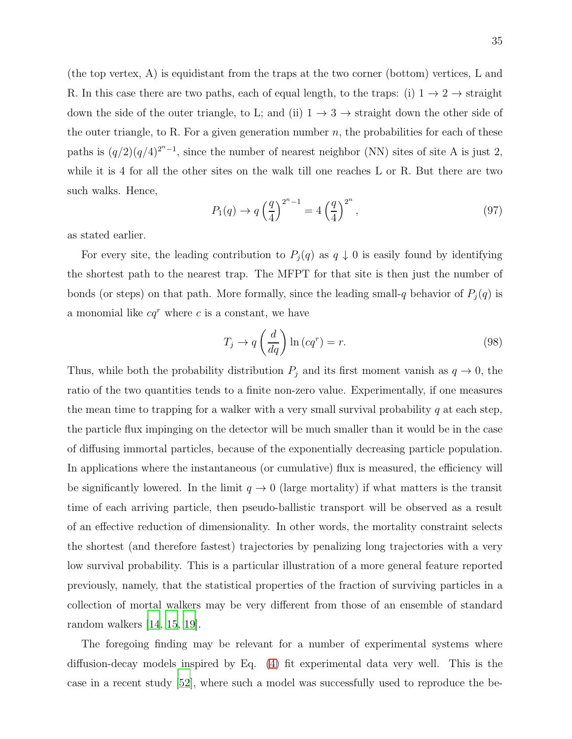(the top vertex, A) is equidistant from the traps at the two corner (bottom) vertices, L and R. In this case there are two paths, each of equal length, to the traps: (i)  $1 \rightarrow 2 \rightarrow$  straight down the side of the outer triangle, to L; and (ii)  $1 \rightarrow 3 \rightarrow$  straight down the other side of the outer triangle, to R. For a given generation number  $n$ , the probabilities for each of these paths is  $(q/2)(q/4)^{2^{n}-1}$ , since the number of nearest neighbor (NN) sites of site A is just 2, while it is 4 for all the other sites on the walk till one reaches L or R. But there are two such walks. Hence,

$$
P_1(q) \to q \left(\frac{q}{4}\right)^{2^n - 1} = 4 \left(\frac{q}{4}\right)^{2^n},\tag{97}
$$

as stated earlier.

For every site, the leading contribution to  $P_j(q)$  as  $q \downarrow 0$  is easily found by identifying the shortest path to the nearest trap. The MFPT for that site is then just the number of bonds (or steps) on that path. More formally, since the leading small-q behavior of  $P_j(q)$  is a monomial like  $cq^r$  where c is a constant, we have

$$
T_j \to q\left(\frac{d}{dq}\right) \ln\left(cq^r\right) = r. \tag{98}
$$

Thus, while both the probability distribution  $P_j$  and its first moment vanish as  $q \to 0$ , the ratio of the two quantities tends to a finite non-zero value. Experimentally, if one measures the mean time to trapping for a walker with a very small survival probability  $q$  at each step, the particle flux impinging on the detector will be much smaller than it would be in the case of diffusing immortal particles, because of the exponentially decreasing particle population. In applications where the instantaneous (or cumulative) flux is measured, the efficiency will be significantly lowered. In the limit  $q \to 0$  (large mortality) if what matters is the transit time of each arriving particle, then pseudo-ballistic transport will be observed as a result of an effective reduction of dimensionality. In other words, the mortality constraint selects the shortest (and therefore fastest) trajectories by penalizing long trajectories with a very low survival probability. This is a particular illustration of a more general feature reported previously, namely, that the statistical properties of the fraction of surviving particles in a collection of mortal walkers may be very different from those of an ensemble of standard random walkers [\[14](#page-37-8), [15](#page-37-9), [19\]](#page-37-10).

The foregoing finding may be relevant for a number of experimental systems where diffusion-decay models inspired by Eq. [\(4\)](#page-4-2) fit experimental data very well. This is the case in a recent study [\[52\]](#page-39-1), where such a model was successfully used to reproduce the be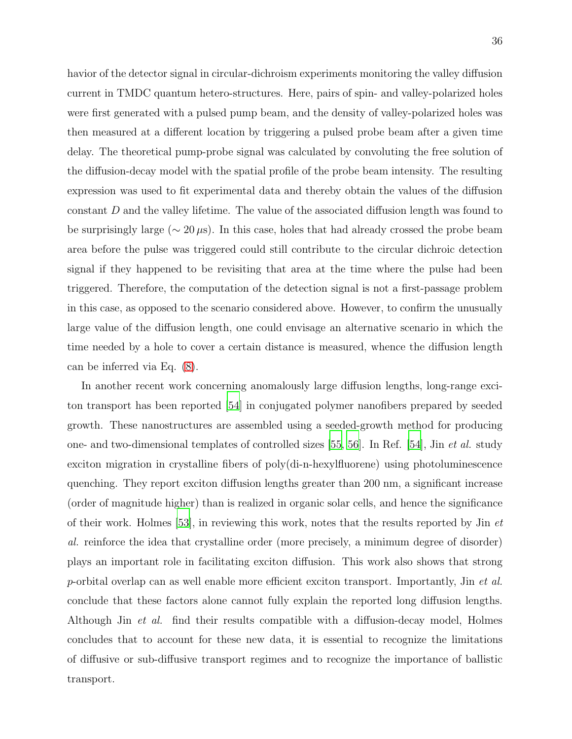havior of the detector signal in circular-dichroism experiments monitoring the valley diffusion current in TMDC quantum hetero-structures. Here, pairs of spin- and valley-polarized holes were first generated with a pulsed pump beam, and the density of valley-polarized holes was then measured at a different location by triggering a pulsed probe beam after a given time delay. The theoretical pump-probe signal was calculated by convoluting the free solution of the diffusion-decay model with the spatial profile of the probe beam intensity. The resulting expression was used to fit experimental data and thereby obtain the values of the diffusion constant D and the valley lifetime. The value of the associated diffusion length was found to be surprisingly large ( $\sim 20 \,\mu s$ ). In this case, holes that had already crossed the probe beam area before the pulse was triggered could still contribute to the circular dichroic detection signal if they happened to be revisiting that area at the time where the pulse had been triggered. Therefore, the computation of the detection signal is not a first-passage problem in this case, as opposed to the scenario considered above. However, to confirm the unusually large value of the diffusion length, one could envisage an alternative scenario in which the time needed by a hole to cover a certain distance is measured, whence the diffusion length can be inferred via Eq. [\(8\)](#page-5-1).

In another recent work concerning anomalously large diffusion lengths, long-range exciton transport has been reported [\[54](#page-39-2)] in conjugated polymer nanofibers prepared by seeded growth. These nanostructures are assembled using a seeded-growth method for producing one- and two-dimensional templates of controlled sizes [\[55,](#page-39-3) [56\]](#page-39-4). In Ref. [\[54](#page-39-2)], Jin et al. study exciton migration in crystalline fibers of poly(di-n-hexylfluorene) using photoluminescence quenching. They report exciton diffusion lengths greater than 200 nm, a significant increase (order of magnitude higher) than is realized in organic solar cells, and hence the significance of their work. Holmes [\[53\]](#page-39-5), in reviewing this work, notes that the results reported by Jin et al. reinforce the idea that crystalline order (more precisely, a minimum degree of disorder) plays an important role in facilitating exciton diffusion. This work also shows that strong p-orbital overlap can as well enable more efficient exciton transport. Importantly, Jin  $et$  al. conclude that these factors alone cannot fully explain the reported long diffusion lengths. Although Jin et al. find their results compatible with a diffusion-decay model, Holmes concludes that to account for these new data, it is essential to recognize the limitations of diffusive or sub-diffusive transport regimes and to recognize the importance of ballistic transport.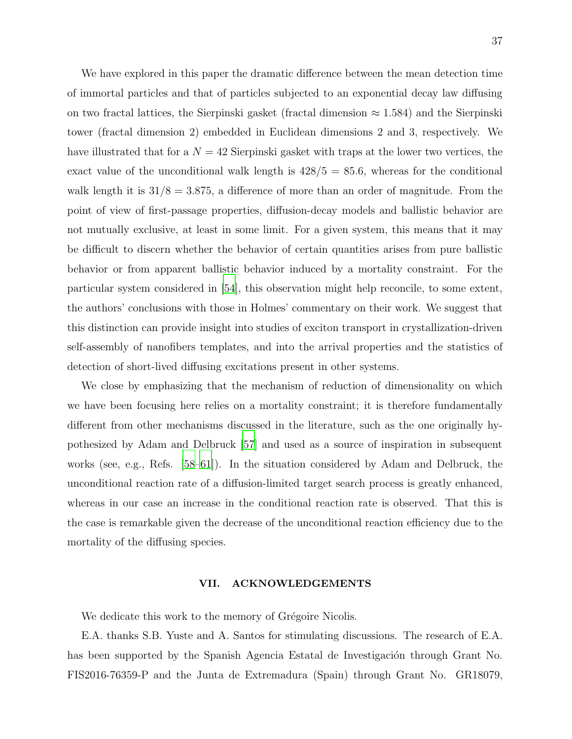We have explored in this paper the dramatic difference between the mean detection time of immortal particles and that of particles subjected to an exponential decay law diffusing on two fractal lattices, the Sierpinski gasket (fractal dimension  $\approx 1.584$ ) and the Sierpinski tower (fractal dimension 2) embedded in Euclidean dimensions 2 and 3, respectively. We have illustrated that for a  $N = 42$  Sierpinski gasket with traps at the lower two vertices, the exact value of the unconditional walk length is  $428/5 = 85.6$ , whereas for the conditional walk length it is  $31/8 = 3.875$ , a difference of more than an order of magnitude. From the point of view of first-passage properties, diffusion-decay models and ballistic behavior are not mutually exclusive, at least in some limit. For a given system, this means that it may be difficult to discern whether the behavior of certain quantities arises from pure ballistic behavior or from apparent ballistic behavior induced by a mortality constraint. For the particular system considered in [\[54\]](#page-39-2), this observation might help reconcile, to some extent, the authors' conclusions with those in Holmes' commentary on their work. We suggest that this distinction can provide insight into studies of exciton transport in crystallization-driven self-assembly of nanofibers templates, and into the arrival properties and the statistics of detection of short-lived diffusing excitations present in other systems.

We close by emphasizing that the mechanism of reduction of dimensionality on which we have been focusing here relies on a mortality constraint; it is therefore fundamentally different from other mechanisms discussed in the literature, such as the one originally hypothesized by Adam and Delbruck [\[57\]](#page-39-6) and used as a source of inspiration in subsequent works (see, e.g., Refs. [\[58](#page-39-7)[–61](#page-39-8)]). In the situation considered by Adam and Delbruck, the unconditional reaction rate of a diffusion-limited target search process is greatly enhanced, whereas in our case an increase in the conditional reaction rate is observed. That this is the case is remarkable given the decrease of the unconditional reaction efficiency due to the mortality of the diffusing species.

### VII. ACKNOWLEDGEMENTS

We dedicate this work to the memory of Grégoire Nicolis.

E.A. thanks S.B. Yuste and A. Santos for stimulating discussions. The research of E.A. has been supported by the Spanish Agencia Estatal de Investigación through Grant No. FIS2016-76359-P and the Junta de Extremadura (Spain) through Grant No. GR18079,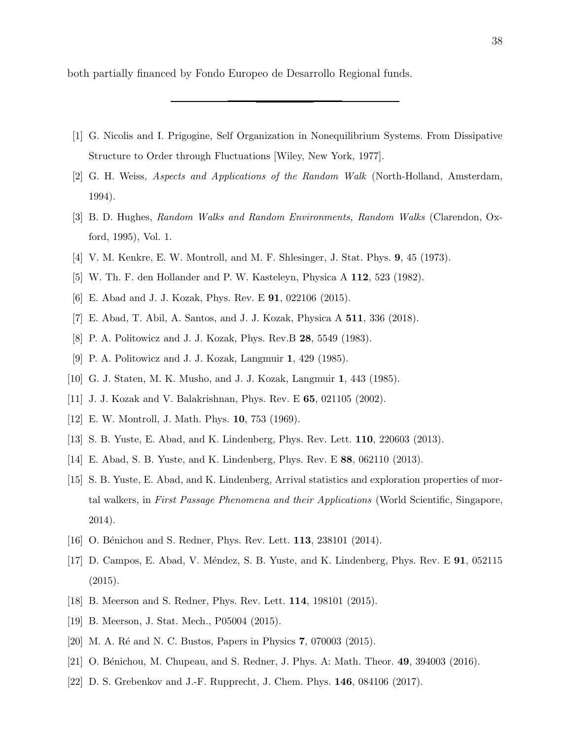both partially financed by Fondo Europeo de Desarrollo Regional funds.

- <span id="page-37-0"></span>[1] G. Nicolis and I. Prigogine, Self Organization in Nonequilibrium Systems. From Dissipative Structure to Order through Fluctuations [Wiley, New York, 1977].
- <span id="page-37-1"></span>[2] G. H. Weiss, Aspects and Applications of the Random Walk (North-Holland, Amsterdam, 1994).
- [3] B. D. Hughes, Random Walks and Random Environments, Random Walks (Clarendon, Oxford, 1995), Vol. 1.
- [4] V. M. Kenkre, E. W. Montroll, and M. F. Shlesinger, J. Stat. Phys. 9, 45 (1973).
- [5] W. Th. F. den Hollander and P. W. Kasteleyn, Physica A 112, 523 (1982).
- <span id="page-37-7"></span>[6] E. Abad and J. J. Kozak, Phys. Rev. E 91, 022106 (2015).
- <span id="page-37-3"></span><span id="page-37-2"></span>[7] E. Abad, T. Abil, A. Santos, and J. J. Kozak, Physica A 511, 336 (2018).
- [8] P. A. Politowicz and J. J. Kozak, Phys. Rev.B 28, 5549 (1983).
- [9] P. A. Politowicz and J. J. Kozak, Langmuir 1, 429 (1985).
- [10] G. J. Staten, M. K. Musho, and J. J. Kozak, Langmuir 1, 443 (1985).
- <span id="page-37-5"></span><span id="page-37-4"></span>[11] J. J. Kozak and V. Balakrishnan, Phys. Rev. E **65**, 021105 (2002).
- [12] E. W. Montroll, J. Math. Phys. 10, 753 (1969).
- [13] S. B. Yuste, E. Abad, and K. Lindenberg, Phys. Rev. Lett. 110, 220603 (2013).
- <span id="page-37-8"></span>[14] E. Abad, S. B. Yuste, and K. Lindenberg, Phys. Rev. E 88, 062110 (2013).
- <span id="page-37-9"></span>[15] S. B. Yuste, E. Abad, and K. Lindenberg, Arrival statistics and exploration properties of mortal walkers, in First Passage Phenomena and their Applications (World Scientific, Singapore, 2014).
- <span id="page-37-6"></span>[16] O. Bénichou and S. Redner, Phys. Rev. Lett. **113**, 238101 (2014).
- [17] D. Campos, E. Abad, V. Méndez, S. B. Yuste, and K. Lindenberg, Phys. Rev. E **91**, 052115 (2015).
- [18] B. Meerson and S. Redner, Phys. Rev. Lett. 114, 198101 (2015).
- <span id="page-37-10"></span>[19] B. Meerson, J. Stat. Mech., P05004 (2015).
- [20] M. A. Ré and N. C. Bustos, Papers in Physics 7, 070003 (2015).
- [21] O. Bénichou, M. Chupeau, and S. Redner, J. Phys. A: Math. Theor. 49, 394003 (2016).
- [22] D. S. Grebenkov and J.-F. Rupprecht, J. Chem. Phys. 146, 084106 (2017).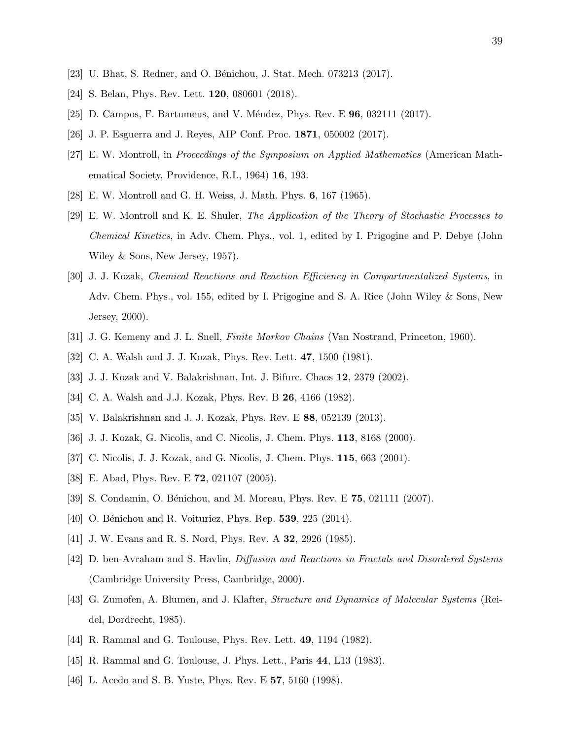- [23] U. Bhat, S. Redner, and O. Bénichou, J. Stat. Mech. 073213 (2017).
- [24] S. Belan, Phys. Rev. Lett. **120**, 080601 (2018).
- [25] D. Campos, F. Bartumeus, and V. Méndez, Phys. Rev. E **96**, 032111 (2017).
- <span id="page-38-3"></span>[26] J. P. Esguerra and J. Reyes, AIP Conf. Proc. 1871, 050002 (2017).
- [27] E. W. Montroll, in Proceedings of the Symposium on Applied Mathematics (American Mathematical Society, Providence, R.I., 1964) 16, 193.
- [28] E. W. Montroll and G. H. Weiss, J. Math. Phys. 6, 167 (1965).
- [29] E. W. Montroll and K. E. Shuler, The Application of the Theory of Stochastic Processes to Chemical Kinetics, in Adv. Chem. Phys., vol. 1, edited by I. Prigogine and P. Debye (John Wiley & Sons, New Jersey, 1957).
- <span id="page-38-1"></span>[30] J. J. Kozak, Chemical Reactions and Reaction Efficiency in Compartmentalized Systems, in Adv. Chem. Phys., vol. 155, edited by I. Prigogine and S. A. Rice (John Wiley & Sons, New Jersey, 2000).
- [31] J. G. Kemeny and J. L. Snell, Finite Markov Chains (Van Nostrand, Princeton, 1960).
- <span id="page-38-6"></span>[32] C. A. Walsh and J. J. Kozak, Phys. Rev. Lett. 47, 1500 (1981).
- [33] J. J. Kozak and V. Balakrishnan, Int. J. Bifurc. Chaos 12, 2379 (2002).
- <span id="page-38-7"></span>[34] C. A. Walsh and J.J. Kozak, Phys. Rev. B **26**, 4166 (1982).
- [35] V. Balakrishnan and J. J. Kozak, Phys. Rev. E 88, 052139 (2013).
- <span id="page-38-2"></span>[36] J. J. Kozak, G. Nicolis, and C. Nicolis, J. Chem. Phys. 113, 8168 (2000).
- [37] C. Nicolis, J. J. Kozak, and G. Nicolis, J. Chem. Phys. 115, 663 (2001).
- <span id="page-38-4"></span>[38] E. Abad, Phys. Rev. E **72**, 021107 (2005).
- [39] S. Condamin, O. Bénichou, and M. Moreau, Phys. Rev. E 75, 021111 (2007).
- <span id="page-38-0"></span>[40] O. Bénichou and R. Voituriez, Phys. Rep. **539**, 225 (2014).
- [41] J. W. Evans and R. S. Nord, Phys. Rev. A 32, 2926 (1985).
- <span id="page-38-5"></span>[42] D. ben-Avraham and S. Havlin, Diffusion and Reactions in Fractals and Disordered Systems (Cambridge University Press, Cambridge, 2000).
- [43] G. Zumofen, A. Blumen, and J. Klafter, Structure and Dynamics of Molecular Systems (Reidel, Dordrecht, 1985).
- [44] R. Rammal and G. Toulouse, Phys. Rev. Lett. **49**, 1194 (1982).
- [45] R. Rammal and G. Toulouse, J. Phys. Lett., Paris 44, L13 (1983).
- [46] L. Acedo and S. B. Yuste, Phys. Rev. E 57, 5160 (1998).